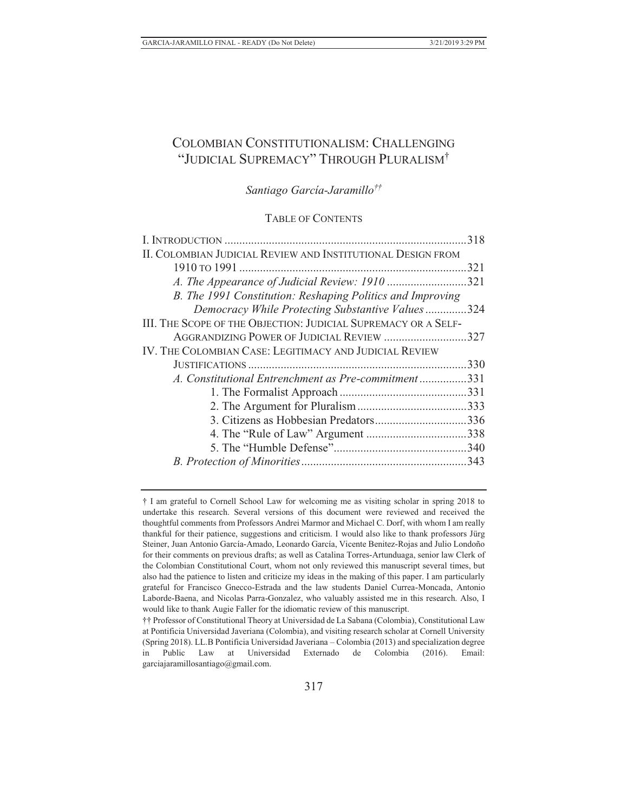# COLOMBIAN CONSTITUTIONALISM: CHALLENGING "JUDICIAL SUPREMACY" THROUGH PLURALISM†

## *Santiago García-Jaramillo††*

#### TABLE OF CONTENTS

| II. COLOMBIAN JUDICIAL REVIEW AND INSTITUTIONAL DESIGN FROM    |  |
|----------------------------------------------------------------|--|
|                                                                |  |
| A. The Appearance of Judicial Review: 1910 321                 |  |
| B. The 1991 Constitution: Reshaping Politics and Improving     |  |
| Democracy While Protecting Substantive Values324               |  |
| III. THE SCOPE OF THE OBJECTION: JUDICIAL SUPREMACY OR A SELF- |  |
| AGGRANDIZING POWER OF JUDICIAL REVIEW 327                      |  |
| IV. THE COLOMBIAN CASE: LEGITIMACY AND JUDICIAL REVIEW         |  |
|                                                                |  |
| A. Constitutional Entrenchment as Pre-commitment331            |  |
|                                                                |  |
|                                                                |  |
| 3. Citizens as Hobbesian Predators336                          |  |
|                                                                |  |
|                                                                |  |
|                                                                |  |
|                                                                |  |

<sup>†</sup> I am grateful to Cornell School Law for welcoming me as visiting scholar in spring 2018 to undertake this research. Several versions of this document were reviewed and received the thoughtful comments from Professors Andrei Marmor and Michael C. Dorf, with whom I am really thankful for their patience, suggestions and criticism. I would also like to thank professors Jürg Steiner, Juan Antonio García-Amado, Leonardo García, Vicente Benitez-Rojas and Julio Londoño for their comments on previous drafts; as well as Catalina Torres-Artunduaga, senior law Clerk of the Colombian Constitutional Court, whom not only reviewed this manuscript several times, but also had the patience to listen and criticize my ideas in the making of this paper. I am particularly grateful for Francisco Gnecco-Estrada and the law students Daniel Currea-Moncada, Antonio Laborde-Baena, and Nicolas Parra-Gonzalez, who valuably assisted me in this research. Also, I would like to thank Augie Faller for the idiomatic review of this manuscript.

<sup>††</sup> Professor of Constitutional Theory at Universidad de La Sabana (Colombia), Constitutional Law at Pontificia Universidad Javeriana (Colombia), and visiting research scholar at Cornell University (Spring 2018). LL.B Pontificia Universidad Javeriana – Colombia (2013) and specialization degree in Public Law at Universidad Externado de Colombia (2016). Email: garciajaramillosantiago@gmail.com.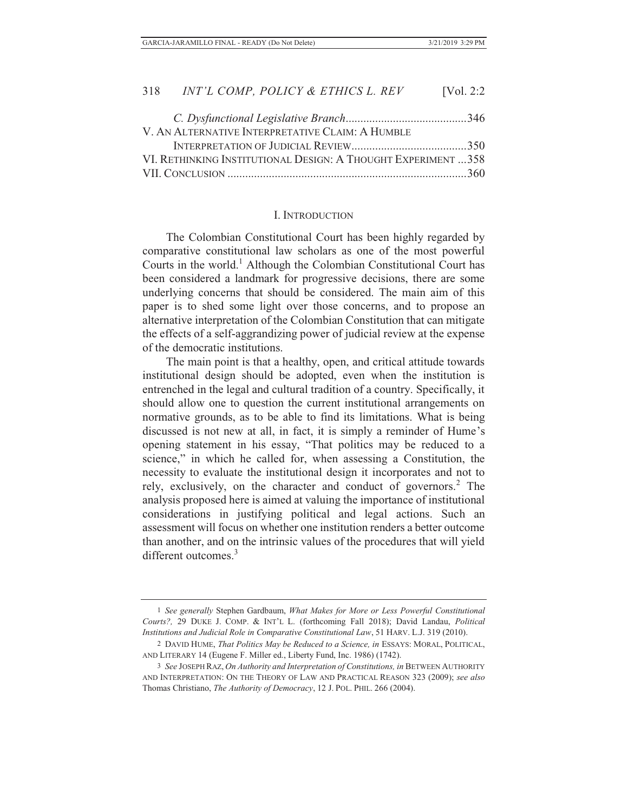|--|

| V. AN ALTERNATIVE INTERPRETATIVE CLAIM: A HUMBLE              |  |
|---------------------------------------------------------------|--|
|                                                               |  |
| VI. RETHINKING INSTITUTIONAL DESIGN: A THOUGHT EXPERIMENT 358 |  |
|                                                               |  |
|                                                               |  |

#### I. INTRODUCTION

The Colombian Constitutional Court has been highly regarded by comparative constitutional law scholars as one of the most powerful Courts in the world.<sup>1</sup> Although the Colombian Constitutional Court has been considered a landmark for progressive decisions, there are some underlying concerns that should be considered. The main aim of this paper is to shed some light over those concerns, and to propose an alternative interpretation of the Colombian Constitution that can mitigate the effects of a self-aggrandizing power of judicial review at the expense of the democratic institutions.

The main point is that a healthy, open, and critical attitude towards institutional design should be adopted, even when the institution is entrenched in the legal and cultural tradition of a country. Specifically, it should allow one to question the current institutional arrangements on normative grounds, as to be able to find its limitations. What is being discussed is not new at all, in fact, it is simply a reminder of Hume's opening statement in his essay, "That politics may be reduced to a science," in which he called for, when assessing a Constitution, the necessity to evaluate the institutional design it incorporates and not to rely, exclusively, on the character and conduct of governors.<sup>2</sup> The analysis proposed here is aimed at valuing the importance of institutional considerations in justifying political and legal actions. Such an assessment will focus on whether one institution renders a better outcome than another, and on the intrinsic values of the procedures that will yield different outcomes.<sup>3</sup>

<sup>1</sup> *See generally* Stephen Gardbaum, *What Makes for More or Less Powerful Constitutional Courts?,* 29 DUKE J. COMP. & INT'L L. (forthcoming Fall 2018); David Landau, *Political Institutions and Judicial Role in Comparative Constitutional Law*, 51 HARV. L.J. 319 (2010).

<sup>2</sup> DAVID HUME, *That Politics May be Reduced to a Science, in* ESSAYS: MORAL, POLITICAL, AND LITERARY 14 (Eugene F. Miller ed., Liberty Fund, Inc. 1986) (1742).

<sup>3</sup> *See* JOSEPH RAZ, *On Authority and Interpretation of Constitutions, in* BETWEEN AUTHORITY AND INTERPRETATION: ON THE THEORY OF LAW AND PRACTICAL REASON 323 (2009); *see also*  Thomas Christiano, *The Authority of Democracy*, 12 J. POL. PHIL. 266 (2004).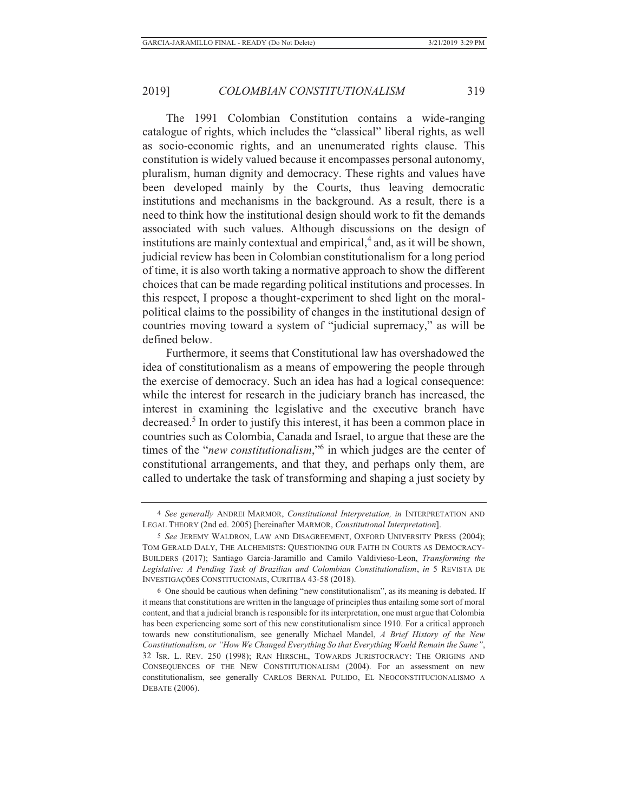The 1991 Colombian Constitution contains a wide-ranging catalogue of rights, which includes the "classical" liberal rights, as well as socio-economic rights, and an unenumerated rights clause. This constitution is widely valued because it encompasses personal autonomy, pluralism, human dignity and democracy. These rights and values have been developed mainly by the Courts, thus leaving democratic institutions and mechanisms in the background. As a result, there is a need to think how the institutional design should work to fit the demands associated with such values. Although discussions on the design of institutions are mainly contextual and empirical, $4$  and, as it will be shown, judicial review has been in Colombian constitutionalism for a long period of time, it is also worth taking a normative approach to show the different choices that can be made regarding political institutions and processes. In this respect, I propose a thought-experiment to shed light on the moralpolitical claims to the possibility of changes in the institutional design of countries moving toward a system of "judicial supremacy," as will be defined below.

Furthermore, it seems that Constitutional law has overshadowed the idea of constitutionalism as a means of empowering the people through the exercise of democracy. Such an idea has had a logical consequence: while the interest for research in the judiciary branch has increased, the interest in examining the legislative and the executive branch have decreased.<sup>5</sup> In order to justify this interest, it has been a common place in countries such as Colombia, Canada and Israel, to argue that these are the times of the "*new constitutionalism*,"<sup>6</sup> in which judges are the center of constitutional arrangements, and that they, and perhaps only them, are called to undertake the task of transforming and shaping a just society by

<sup>4</sup> *See generally* ANDREI MARMOR, *Constitutional Interpretation, in* INTERPRETATION AND LEGAL THEORY (2nd ed. 2005) [hereinafter MARMOR, *Constitutional Interpretation*].

<sup>5</sup> *See* JEREMY WALDRON, LAW AND DISAGREEMENT, OXFORD UNIVERSITY PRESS (2004); TOM GERALD DALY, THE ALCHEMISTS: QUESTIONING OUR FAITH IN COURTS AS DEMOCRACY-BUILDERS (2017); Santiago Garcia-Jaramillo and Camilo Valdivieso-Leon, *Transforming the Legislative: A Pending Task of Brazilian and Colombian Constitutionalism*, *in* 5 REVISTA DE INVESTIGAÇÕES CONSTITUCIONAIS, CURITIBA 43-58 (2018).

<sup>6</sup> One should be cautious when defining "new constitutionalism", as its meaning is debated. If it means that constitutions are written in the language of principles thus entailing some sort of moral content, and that a judicial branch is responsible for its interpretation, one must argue that Colombia has been experiencing some sort of this new constitutionalism since 1910. For a critical approach towards new constitutionalism, see generally Michael Mandel, *A Brief History of the New Constitutionalism, or "How We Changed Everything So that Everything Would Remain the Same"*, 32 ISR. L. REV. 250 (1998); RAN HIRSCHL, TOWARDS JURISTOCRACY: THE ORIGINS AND CONSEQUENCES OF THE NEW CONSTITUTIONALISM (2004). For an assessment on new constitutionalism, see generally CARLOS BERNAL PULIDO, EL NEOCONSTITUCIONALISMO A DEBATE (2006).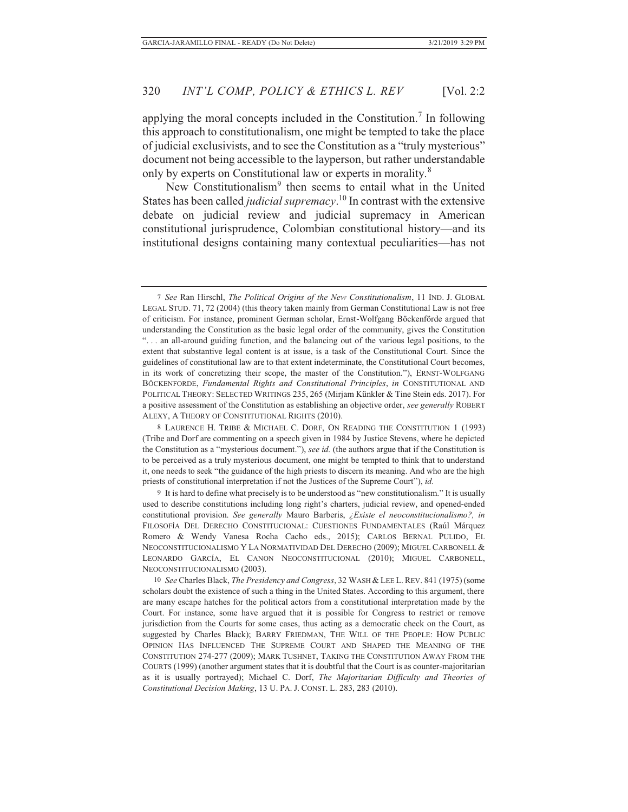applying the moral concepts included in the Constitution.<sup>7</sup> In following this approach to constitutionalism, one might be tempted to take the place of judicial exclusivists, and to see the Constitution as a "truly mysterious" document not being accessible to the layperson, but rather understandable only by experts on Constitutional law or experts in morality.<sup>8</sup>

New Constitutionalism<sup>9</sup> then seems to entail what in the United States has been called *judicial supremacy*. 10 In contrast with the extensive debate on judicial review and judicial supremacy in American constitutional jurisprudence, Colombian constitutional history—and its institutional designs containing many contextual peculiarities—has not

<sup>7</sup> *See* Ran Hirschl, *The Political Origins of the New Constitutionalism*, 11 IND. J. GLOBAL LEGAL STUD. 71, 72 (2004) (this theory taken mainly from German Constitutional Law is not free of criticism. For instance, prominent German scholar, Ernst-Wolfgang Böckenförde argued that understanding the Constitution as the basic legal order of the community, gives the Constitution ". . . an all-around guiding function, and the balancing out of the various legal positions, to the extent that substantive legal content is at issue, is a task of the Constitutional Court. Since the guidelines of constitutional law are to that extent indeterminate, the Constitutional Court becomes, in its work of concretizing their scope, the master of the Constitution*.*"), ERNST-WOLFGANG BÖCKENFORDE, *Fundamental Rights and Constitutional Principles*, *in* CONSTITUTIONAL AND POLITICAL THEORY: SELECTED WRITINGS 235, 265 (Mirjam Künkler & Tine Stein eds. 2017). For a positive assessment of the Constitution as establishing an objective order, *see generally* ROBERT ALEXY, A THEORY OF CONSTITUTIONAL RIGHTS (2010).

<sup>8</sup> LAURENCE H. TRIBE & MICHAEL C. DORF, ON READING THE CONSTITUTION 1 (1993) (Tribe and Dorf are commenting on a speech given in 1984 by Justice Stevens, where he depicted the Constitution as a "mysterious document."), *see id.* (the authors argue that if the Constitution is to be perceived as a truly mysterious document, one might be tempted to think that to understand it, one needs to seek "the guidance of the high priests to discern its meaning. And who are the high priests of constitutional interpretation if not the Justices of the Supreme Court"), *id.*

<sup>9</sup> It is hard to define what precisely is to be understood as "new constitutionalism." It is usually used to describe constitutions including long right's charters, judicial review, and opened-ended constitutional provision. *See generally* Mauro Barberis, *¿Existe el neoconstitucionalismo?, in*  FILOSOFÍA DEL DERECHO CONSTITUCIONAL: CUESTIONES FUNDAMENTALES (Raúl Márquez Romero & Wendy Vanesa Rocha Cacho eds., 2015); CARLOS BERNAL PULIDO, EL NEOCONSTITUCIONALISMO Y LA NORMATIVIDAD DEL DERECHO (2009); MIGUEL CARBONELL & LEONARDO GARCÍA, EL CANON NEOCONSTITUCIONAL (2010); MIGUEL CARBONELL, NEOCONSTITUCIONALISMO (2003).

<sup>10</sup> *See* Charles Black, *The Presidency and Congress*, 32 WASH & LEE L. REV. 841 (1975) (some scholars doubt the existence of such a thing in the United States. According to this argument, there are many escape hatches for the political actors from a constitutional interpretation made by the Court. For instance, some have argued that it is possible for Congress to restrict or remove jurisdiction from the Courts for some cases, thus acting as a democratic check on the Court, as suggested by Charles Black); BARRY FRIEDMAN, THE WILL OF THE PEOPLE: HOW PUBLIC OPINION HAS INFLUENCED THE SUPREME COURT AND SHAPED THE MEANING OF THE CONSTITUTION 274-277 (2009); MARK TUSHNET, TAKING THE CONSTITUTION AWAY FROM THE COURTS (1999) (another argument states that it is doubtful that the Court is as counter-majoritarian as it is usually portrayed); Michael C. Dorf, *The Majoritarian Difficulty and Theories of Constitutional Decision Making*, 13 U. PA. J. CONST. L. 283, 283 (2010).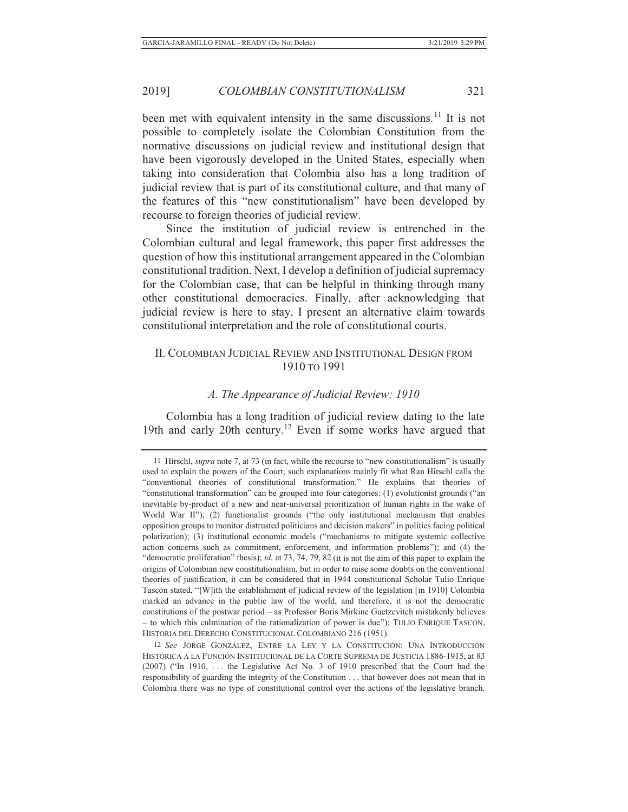been met with equivalent intensity in the same discussions.<sup>11</sup> It is not possible to completely isolate the Colombian Constitution from the normative discussions on judicial review and institutional design that have been vigorously developed in the United States, especially when taking into consideration that Colombia also has a long tradition of judicial review that is part of its constitutional culture, and that many of the features of this "new constitutionalism" have been developed by recourse to foreign theories of judicial review.

Since the institution of judicial review is entrenched in the Colombian cultural and legal framework, this paper first addresses the question of how this institutional arrangement appeared in the Colombian constitutional tradition. Next, I develop a definition of judicial supremacy for the Colombian case, that can be helpful in thinking through many other constitutional democracies. Finally, after acknowledging that judicial review is here to stay, I present an alternative claim towards constitutional interpretation and the role of constitutional courts.

# II. COLOMBIAN JUDICIAL REVIEW AND INSTITUTIONAL DESIGN FROM 1910 TO 1991

### *A. The Appearance of Judicial Review: 1910*

Colombia has a long tradition of judicial review dating to the late 19th and early 20th century.12 Even if some works have argued that

<sup>11</sup> Hirschl, *supra* note 7, at 73 (in fact, while the recourse to "new constitutionalism" is usually used to explain the powers of the Court, such explanations mainly fit what Ran Hirschl calls the "conventional theories of constitutional transformation." He explains that theories of "constitutional transformation" can be grouped into four categories: (1) evolutionist grounds ("an inevitable by-product of a new and near-universal prioritization of human rights in the wake of World War II"); (2) functionalist grounds ("the only institutional mechanism that enables opposition groups to monitor distrusted politicians and decision makers" in polities facing political polarization); (3) institutional economic models ("mechanisms to mitigate systemic collective action concerns such as commitment, enforcement, and information problems"); and (4) the "democratic proliferation" thesis); *id.* at 73, 74, 79, 82 (it is not the aim of this paper to explain the origins of Colombian new constitutionalism, but in order to raise some doubts on the conventional theories of justification, it can be considered that in 1944 constitutional Scholar Tulio Enrique Tascón stated, "[W]ith the establishment of judicial review of the legislation [in 1910] Colombia marked an advance in the public law of the world, and therefore, it is not the democratic constitutions of the postwar period – as Professor Boris Mirkine Guetzevitch mistakenly believes – to which this culmination of the rationalization of power is due"); TULIO ENRIQUE TASCÓN, HISTORIA DEL DERECHO CONSTITUCIONAL COLOMBIANO 216 (1951).

<sup>12</sup> *See* JORGE GONZÁLEZ, ENTRE LA LEY Y LA CONSTITUCIÓN: UNA INTRODUCCIÓN HISTÓRICA A LA FUNCIÓN INSTITUCIONAL DE LA CORTE SUPREMA DE JUSTICIA 1886-1915, at 83  $(2007)$  ("In 1910, ... the Legislative Act No. 3 of 1910 prescribed that the Court had the responsibility of guarding the integrity of the Constitution . . . that however does not mean that in Colombia there was no type of constitutional control over the actions of the legislative branch.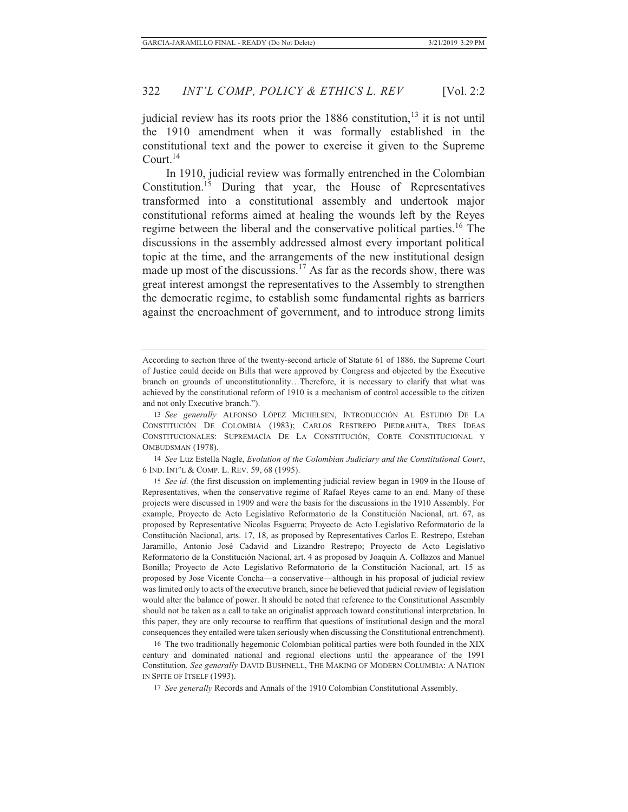judicial review has its roots prior the  $1886$  constitution,<sup>13</sup> it is not until the 1910 amendment when it was formally established in the constitutional text and the power to exercise it given to the Supreme Court.<sup>14</sup>

In 1910, judicial review was formally entrenched in the Colombian Constitution.15 During that year, the House of Representatives transformed into a constitutional assembly and undertook major constitutional reforms aimed at healing the wounds left by the Reyes regime between the liberal and the conservative political parties.16 The discussions in the assembly addressed almost every important political topic at the time, and the arrangements of the new institutional design made up most of the discussions.<sup>17</sup> As far as the records show, there was great interest amongst the representatives to the Assembly to strengthen the democratic regime, to establish some fundamental rights as barriers against the encroachment of government, and to introduce strong limits

14 *See* Luz Estella Nagle, *Evolution of the Colombian Judiciary and the Constitutional Court*, 6 IND. INT'L & COMP. L. REV. 59, 68 (1995).

15 *See id.* (the first discussion on implementing judicial review began in 1909 in the House of Representatives, when the conservative regime of Rafael Reyes came to an end. Many of these projects were discussed in 1909 and were the basis for the discussions in the 1910 Assembly. For example, Proyecto de Acto Legislativo Reformatorio de la Constitución Nacional, art. 67, as proposed by Representative Nicolas Esguerra; Proyecto de Acto Legislativo Reformatorio de la Constitución Nacional, arts. 17, 18, as proposed by Representatives Carlos E. Restrepo, Esteban Jaramillo, Antonio José Cadavid and Lizandro Restrepo; Proyecto de Acto Legislativo Reformatorio de la Constitución Nacional, art. 4 as proposed by Joaquín A. Collazos and Manuel Bonilla; Proyecto de Acto Legislativo Reformatorio de la Constitución Nacional, art. 15 as proposed by Jose Vicente Concha—a conservative—although in his proposal of judicial review was limited only to acts of the executive branch, since he believed that judicial review of legislation would alter the balance of power. It should be noted that reference to the Constitutional Assembly should not be taken as a call to take an originalist approach toward constitutional interpretation. In this paper, they are only recourse to reaffirm that questions of institutional design and the moral consequences they entailed were taken seriously when discussing the Constitutional entrenchment).

16 The two traditionally hegemonic Colombian political parties were both founded in the XIX century and dominated national and regional elections until the appearance of the 1991 Constitution. *See generally* DAVID BUSHNELL, THE MAKING OF MODERN COLUMBIA: A NATION IN SPITE OF ITSELF (1993).

17 *See generally* Records and Annals of the 1910 Colombian Constitutional Assembly.

According to section three of the twenty-second article of Statute 61 of 1886, the Supreme Court of Justice could decide on Bills that were approved by Congress and objected by the Executive branch on grounds of unconstitutionality…Therefore, it is necessary to clarify that what was achieved by the constitutional reform of 1910 is a mechanism of control accessible to the citizen and not only Executive branch.").

<sup>13</sup> *See generally* ALFONSO LÓPEZ MICHELSEN, INTRODUCCIÓN AL ESTUDIO DE LA CONSTITUCIÓN DE COLOMBIA (1983); CARLOS RESTREPO PIEDRAHITA, TRES IDEAS CONSTITUCIONALES: SUPREMACÍA DE LA CONSTITUCIÓN, CORTE CONSTITUCIONAL Y OMBUDSMAN (1978).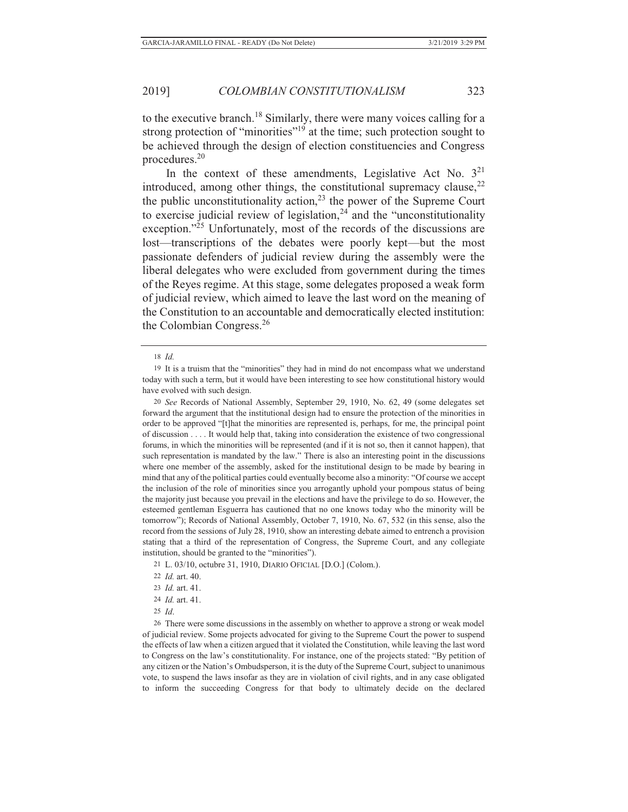to the executive branch.18 Similarly, there were many voices calling for a strong protection of "minorities"<sup>19</sup> at the time; such protection sought to be achieved through the design of election constituencies and Congress procedures.20

In the context of these amendments, Legislative Act No.  $3^{21}$ introduced, among other things, the constitutional supremacy clause,  $22$ the public unconstitutionality action, $^{23}$  the power of the Supreme Court to exercise judicial review of legislation, $24$  and the "unconstitutionality" exception."<sup>25</sup> Unfortunately, most of the records of the discussions are lost—transcriptions of the debates were poorly kept—but the most passionate defenders of judicial review during the assembly were the liberal delegates who were excluded from government during the times of the Reyes regime. At this stage, some delegates proposed a weak form of judicial review, which aimed to leave the last word on the meaning of the Constitution to an accountable and democratically elected institution: the Colombian Congress.<sup>26</sup>

18 *Id.*

20 *See* Records of National Assembly, September 29, 1910, No. 62, 49 (some delegates set forward the argument that the institutional design had to ensure the protection of the minorities in order to be approved "[t]hat the minorities are represented is, perhaps, for me, the principal point of discussion . . . . It would help that, taking into consideration the existence of two congressional forums, in which the minorities will be represented (and if it is not so, then it cannot happen), that such representation is mandated by the law." There is also an interesting point in the discussions where one member of the assembly, asked for the institutional design to be made by bearing in mind that any of the political parties could eventually become also a minority: "Of course we accept the inclusion of the role of minorities since you arrogantly uphold your pompous status of being the majority just because you prevail in the elections and have the privilege to do so. However, the esteemed gentleman Esguerra has cautioned that no one knows today who the minority will be tomorrow"); Records of National Assembly, October 7, 1910, No. 67, 532 (in this sense, also the record from the sessions of July 28, 1910, show an interesting debate aimed to entrench a provision stating that a third of the representation of Congress, the Supreme Court, and any collegiate institution, should be granted to the "minorities").

21 L. 03/10, octubre 31, 1910, DIARIO OFICIAL [D.O.] (Colom.).

22 *Id.* art. 40.

- 23 *Id.* art. 41.
- 24 *Id.* art. 41.
- 25 *Id*.

26 There were some discussions in the assembly on whether to approve a strong or weak model of judicial review. Some projects advocated for giving to the Supreme Court the power to suspend the effects of law when a citizen argued that it violated the Constitution, while leaving the last word to Congress on the law's constitutionality. For instance, one of the projects stated: "By petition of any citizen or the Nation's Ombudsperson, it is the duty of the Supreme Court, subject to unanimous vote, to suspend the laws insofar as they are in violation of civil rights, and in any case obligated to inform the succeeding Congress for that body to ultimately decide on the declared

<sup>19</sup> It is a truism that the "minorities" they had in mind do not encompass what we understand today with such a term, but it would have been interesting to see how constitutional history would have evolved with such design.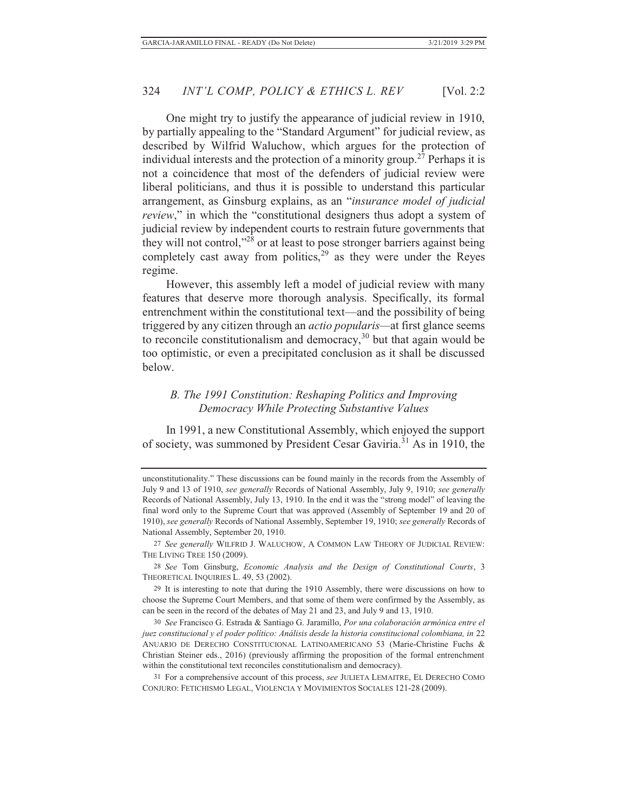One might try to justify the appearance of judicial review in 1910, by partially appealing to the "Standard Argument" for judicial review, as described by Wilfrid Waluchow, which argues for the protection of individual interests and the protection of a minority group.<sup>27</sup> Perhaps it is not a coincidence that most of the defenders of judicial review were liberal politicians, and thus it is possible to understand this particular arrangement, as Ginsburg explains, as an "*insurance model of judicial review*," in which the "constitutional designers thus adopt a system of judicial review by independent courts to restrain future governments that they will not control,"28 or at least to pose stronger barriers against being completely cast away from politics, $2^9$  as they were under the Reyes regime.

However, this assembly left a model of judicial review with many features that deserve more thorough analysis. Specifically, its formal entrenchment within the constitutional text—and the possibility of being triggered by any citizen through an *actio popularis—*at first glance seems to reconcile constitutionalism and democracy, $30$  but that again would be too optimistic, or even a precipitated conclusion as it shall be discussed below.

# *B. The 1991 Constitution: Reshaping Politics and Improving Democracy While Protecting Substantive Values*

In 1991, a new Constitutional Assembly, which enjoyed the support of society, was summoned by President Cesar Gaviria.31 As in 1910, the

unconstitutionality." These discussions can be found mainly in the records from the Assembly of July 9 and 13 of 1910, *see generally* Records of National Assembly, July 9, 1910; *see generally*  Records of National Assembly, July 13, 1910. In the end it was the "strong model" of leaving the final word only to the Supreme Court that was approved (Assembly of September 19 and 20 of 1910), *see generally* Records of National Assembly, September 19, 1910; *see generally* Records of National Assembly, September 20, 1910.

<sup>27</sup> *See generally* WILFRID J. WALUCHOW, A COMMON LAW THEORY OF JUDICIAL REVIEW: THE LIVING TREE 150 (2009).

<sup>28</sup> *See* Tom Ginsburg, *Economic Analysis and the Design of Constitutional Courts*, 3 THEORETICAL INQUIRIES L. 49, 53 (2002).

<sup>29</sup> It is interesting to note that during the 1910 Assembly, there were discussions on how to choose the Supreme Court Members, and that some of them were confirmed by the Assembly, as can be seen in the record of the debates of May 21 and 23, and July 9 and 13, 1910.

<sup>30</sup> *See* Francisco G. Estrada & Santiago G. Jaramillo, *Por una colaboración armónica entre el juez constitucional y el poder político: Análisis desde la historia constitucional colombiana, in* 22 ANUARIO DE DERECHO CONSTITUCIONAL LATINOAMERICANO 53 (Marie-Christine Fuchs & Christian Steiner eds., 2016) (previously affirming the proposition of the formal entrenchment within the constitutional text reconciles constitutionalism and democracy).

<sup>31</sup> For a comprehensive account of this process, *see* JULIETA LEMAITRE, EL DERECHO COMO CONJURO: FETICHISMO LEGAL, VIOLENCIA Y MOVIMIENTOS SOCIALES 121-28 (2009).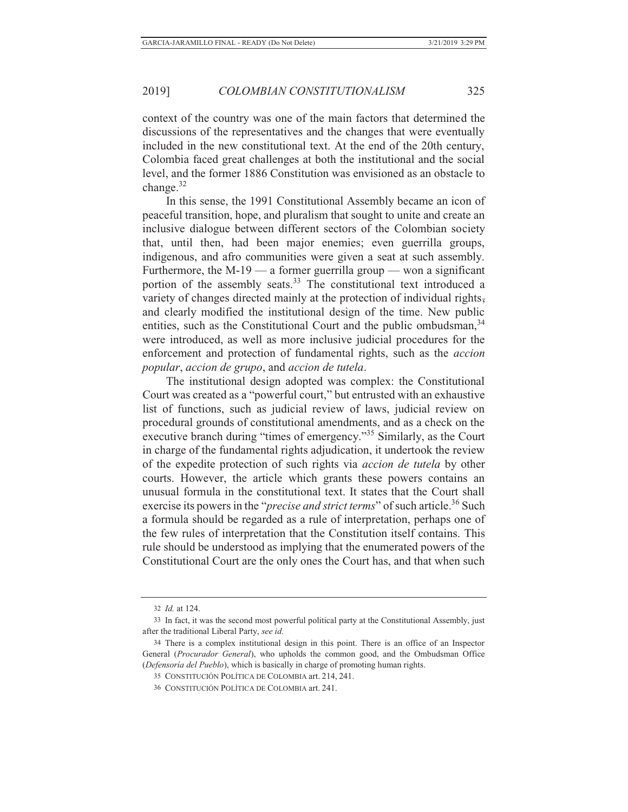context of the country was one of the main factors that determined the discussions of the representatives and the changes that were eventually included in the new constitutional text. At the end of the 20th century, Colombia faced great challenges at both the institutional and the social level, and the former 1886 Constitution was envisioned as an obstacle to change. $32$ 

In this sense, the 1991 Constitutional Assembly became an icon of peaceful transition, hope, and pluralism that sought to unite and create an inclusive dialogue between different sectors of the Colombian society that, until then, had been major enemies; even guerrilla groups, indigenous, and afro communities were given a seat at such assembly. Furthermore, the  $M-19$  — a former guerrilla group — won a significant portion of the assembly seats.<sup>33</sup> The constitutional text introduced a variety of changes directed mainly at the protection of individual rights, and clearly modified the institutional design of the time. New public entities, such as the Constitutional Court and the public ombudsman,<sup>34</sup> were introduced, as well as more inclusive judicial procedures for the enforcement and protection of fundamental rights, such as the *accion popular*, *accion de grupo*, and *accion de tutela*.

The institutional design adopted was complex: the Constitutional Court was created as a "powerful court," but entrusted with an exhaustive list of functions, such as judicial review of laws, judicial review on procedural grounds of constitutional amendments, and as a check on the executive branch during "times of emergency."35 Similarly, as the Court in charge of the fundamental rights adjudication, it undertook the review of the expedite protection of such rights via *accion de tutela* by other courts. However, the article which grants these powers contains an unusual formula in the constitutional text. It states that the Court shall exercise its powers in the "*precise and strict terms*" of such article.<sup>36</sup> Such a formula should be regarded as a rule of interpretation, perhaps one of the few rules of interpretation that the Constitution itself contains. This rule should be understood as implying that the enumerated powers of the Constitutional Court are the only ones the Court has, and that when such

<sup>32</sup> *Id.* at 124.

<sup>33</sup> In fact, it was the second most powerful political party at the Constitutional Assembly, just after the traditional Liberal Party, *see id.* 

<sup>34</sup> There is a complex institutional design in this point. There is an office of an Inspector General (*Procurador General*), who upholds the common good, and the Ombudsman Office (*Defensoría del Pueblo*), which is basically in charge of promoting human rights.

<sup>35</sup> CONSTITUCIÓN POLÍTICA DE COLOMBIA art. 214, 241.

<sup>36</sup> CONSTITUCIÓN POLÍTICA DE COLOMBIA art. 241.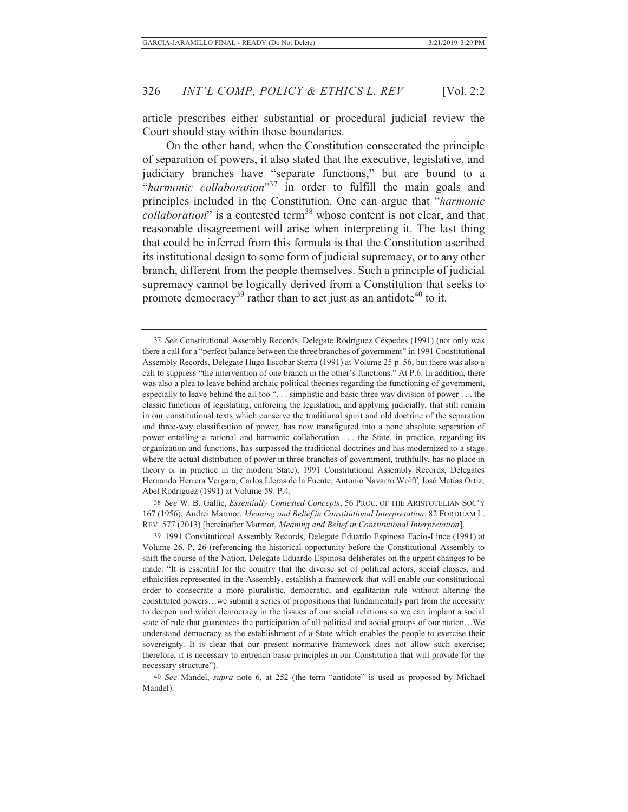article prescribes either substantial or procedural judicial review the Court should stay within those boundaries.

On the other hand, when the Constitution consecrated the principle of separation of powers, it also stated that the executive, legislative, and judiciary branches have "separate functions," but are bound to a "*harmonic collaboration*"<sup>37</sup> in order to fulfill the main goals and principles included in the Constitution. One can argue that "*harmonic collaboration*" is a contested term<sup>38</sup> whose content is not clear, and that reasonable disagreement will arise when interpreting it. The last thing that could be inferred from this formula is that the Constitution ascribed its institutional design to some form of judicial supremacy, or to any other branch, different from the people themselves. Such a principle of judicial supremacy cannot be logically derived from a Constitution that seeks to promote democracy<sup>39</sup> rather than to act just as an antidote<sup>40</sup> to it.

38 *See* W. B. Gallie, *Essentially Contested Concepts*, 56 PROC. OF THE ARISTOTELIAN SOC'Y 167 (1956); Andrei Marmor, *Meaning and Belief in Constitutional Interpretation*, 82 FORDHAM L. REV. 577 (2013) [hereinafter Marmor, *Meaning and Belief in Constitutional Interpretation*].

39 1991 Constitutional Assembly Records, Delegate Eduardo Espinosa Facio-Lince (1991) at Volume 26. P. 26 (referencing the historical opportunity before the Constitutional Assembly to shift the course of the Nation, Delegate Eduardo Espinosa deliberates on the urgent changes to be made: "It is essential for the country that the diverse set of political actors, social classes, and ethnicities represented in the Assembly, establish a framework that will enable our constitutional order to consecrate a more pluralistic, democratic, and egalitarian rule without altering the constituted powers…we submit a series of propositions that fundamentally part from the necessity to deepen and widen democracy in the tissues of our social relations so we can implant a social state of rule that guarantees the participation of all political and social groups of our nation…We understand democracy as the establishment of a State which enables the people to exercise their sovereignty. It is clear that our present normative framework does not allow such exercise; therefore, it is necessary to entrench basic principles in our Constitution that will provide for the necessary structure").

40 *See* Mandel, *supra* note 6, at 252 (the term "antidote" is used as proposed by Michael Mandel).

<sup>37</sup> *See* Constitutional Assembly Records, Delegate Rodríguez Céspedes (1991) (not only was there a call for a "perfect balance between the three branches of government" in 1991 Constitutional Assembly Records, Delegate Hugo Escobar Sierra (1991) at Volume 25 p. 56, but there was also a call to suppress "the intervention of one branch in the other's functions." At P.6. In addition, there was also a plea to leave behind archaic political theories regarding the functioning of government, especially to leave behind the all too ". . . simplistic and basic three way division of power . . . the classic functions of legislating, enforcing the legislation, and applying judicially, that still remain in our constitutional texts which conserve the traditional spirit and old doctrine of the separation and three-way classification of power, has now transfigured into a none absolute separation of power entailing a rational and harmonic collaboration . . . the State, in practice, regarding its organization and functions, has surpassed the traditional doctrines and has modernized to a stage where the actual distribution of power in three branches of government, truthfully, has no place in theory or in practice in the modern State); 1991 Constitutional Assembly Records, Delegates Hernando Herrera Vergara, Carlos Lleras de la Fuente, Antonio Navarro Wolff, José Matías Ortiz, Abel Rodríguez (1991) at Volume 59. P.4.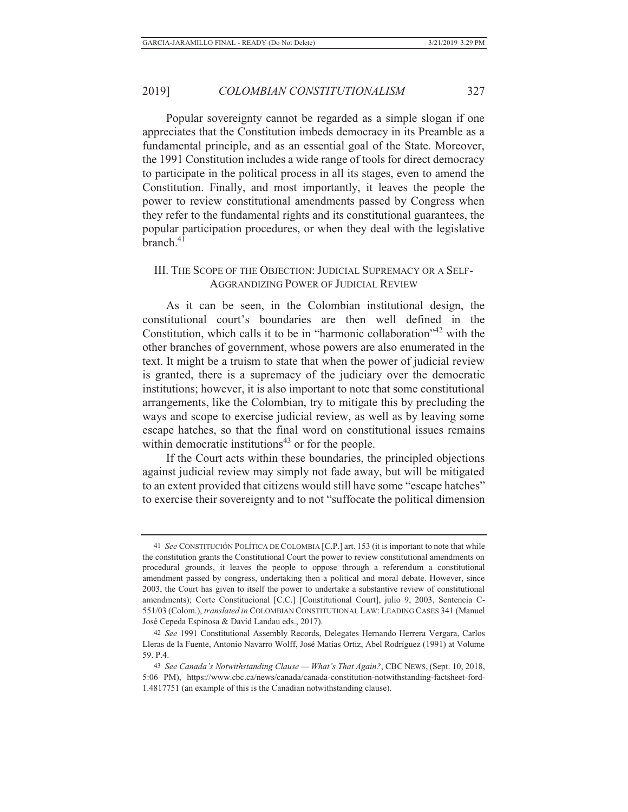Popular sovereignty cannot be regarded as a simple slogan if one appreciates that the Constitution imbeds democracy in its Preamble as a fundamental principle, and as an essential goal of the State. Moreover, the 1991 Constitution includes a wide range of tools for direct democracy to participate in the political process in all its stages, even to amend the Constitution. Finally, and most importantly, it leaves the people the power to review constitutional amendments passed by Congress when they refer to the fundamental rights and its constitutional guarantees, the popular participation procedures, or when they deal with the legislative  $branch$ <sup>41</sup>

## III. THE SCOPE OF THE OBJECTION: JUDICIAL SUPREMACY OR A SELF-AGGRANDIZING POWER OF JUDICIAL REVIEW

As it can be seen, in the Colombian institutional design, the constitutional court's boundaries are then well defined in the Constitution, which calls it to be in "harmonic collaboration"<sup>42</sup> with the other branches of government, whose powers are also enumerated in the text. It might be a truism to state that when the power of judicial review is granted, there is a supremacy of the judiciary over the democratic institutions; however, it is also important to note that some constitutional arrangements, like the Colombian, try to mitigate this by precluding the ways and scope to exercise judicial review, as well as by leaving some escape hatches, so that the final word on constitutional issues remains within democratic institutions $43$  or for the people.

If the Court acts within these boundaries, the principled objections against judicial review may simply not fade away, but will be mitigated to an extent provided that citizens would still have some "escape hatches" to exercise their sovereignty and to not "suffocate the political dimension

<sup>41</sup> *See* CONSTITUCIÓN POLÍTICA DE COLOMBIA [C.P.] art. 153 (it is important to note that while the constitution grants the Constitutional Court the power to review constitutional amendments on procedural grounds, it leaves the people to oppose through a referendum a constitutional amendment passed by congress, undertaking then a political and moral debate. However, since 2003, the Court has given to itself the power to undertake a substantive review of constitutional amendments); Corte Constitucional [C.C.] [Constitutional Court], julio 9, 2003, Sentencia C-551/03 (Colom.), *translated in* COLOMBIAN CONSTITUTIONAL LAW: LEADING CASES 341 (Manuel José Cepeda Espinosa & David Landau eds., 2017).

<sup>42</sup> *See* 1991 Constitutional Assembly Records, Delegates Hernando Herrera Vergara, Carlos Lleras de la Fuente, Antonio Navarro Wolff, José Matías Ortiz, Abel Rodríguez (1991) at Volume 59. P.4.

<sup>43</sup> *See Canada's Notwithstanding Clause — What's That Again?*, CBC NEWS, (Sept. 10, 2018, 5:06 PM), https://www.cbc.ca/news/canada/canada-constitution-notwithstanding-factsheet-ford-1.4817751 (an example of this is the Canadian notwithstanding clause).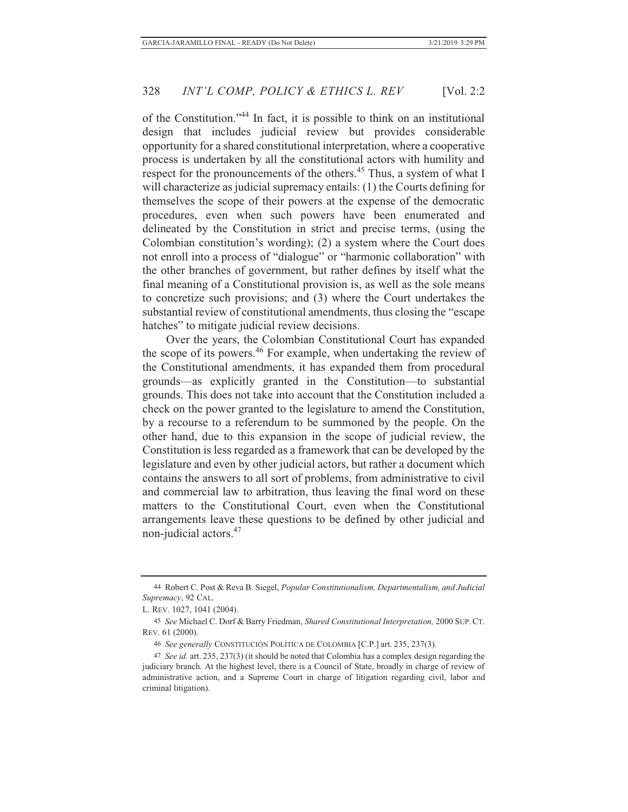of the Constitution."44 In fact, it is possible to think on an institutional design that includes judicial review but provides considerable opportunity for a shared constitutional interpretation, where a cooperative process is undertaken by all the constitutional actors with humility and respect for the pronouncements of the others.<sup>45</sup> Thus, a system of what I will characterize as judicial supremacy entails: (1) the Courts defining for themselves the scope of their powers at the expense of the democratic procedures, even when such powers have been enumerated and delineated by the Constitution in strict and precise terms, (using the Colombian constitution's wording); (2) a system where the Court does not enroll into a process of "dialogue" or "harmonic collaboration" with the other branches of government, but rather defines by itself what the final meaning of a Constitutional provision is, as well as the sole means to concretize such provisions; and (3) where the Court undertakes the substantial review of constitutional amendments, thus closing the "escape hatches" to mitigate judicial review decisions.

Over the years, the Colombian Constitutional Court has expanded the scope of its powers.<sup>46</sup> For example, when undertaking the review of the Constitutional amendments, it has expanded them from procedural grounds—as explicitly granted in the Constitution—to substantial grounds. This does not take into account that the Constitution included a check on the power granted to the legislature to amend the Constitution, by a recourse to a referendum to be summoned by the people. On the other hand, due to this expansion in the scope of judicial review, the Constitution is less regarded as a framework that can be developed by the legislature and even by other judicial actors, but rather a document which contains the answers to all sort of problems, from administrative to civil and commercial law to arbitration, thus leaving the final word on these matters to the Constitutional Court, even when the Constitutional arrangements leave these questions to be defined by other judicial and non-judicial actors.47

<sup>44</sup> Robert C. Post & Reva B. Siegel, *Popular Constitutionalism, Departmentalism, and Judicial Supremacy*, 92 CAL.

L. REV. 1027, 1041 (2004).

<sup>45</sup> *See* Michael C. Dorf & Barry Friedman, *Shared Constitutional Interpretation,* 2000 SUP. CT. REV. 61 (2000).

<sup>46</sup> *See generally* CONSTITUCIÓN POLÍTICA DE COLOMBIA [C.P.] art. 235, 237(3).

<sup>47</sup> *See id.* art. 235, 237(3) (it should be noted that Colombia has a complex design regarding the judiciary branch. At the highest level, there is a Council of State, broadly in charge of review of administrative action, and a Supreme Court in charge of litigation regarding civil, labor and criminal litigation).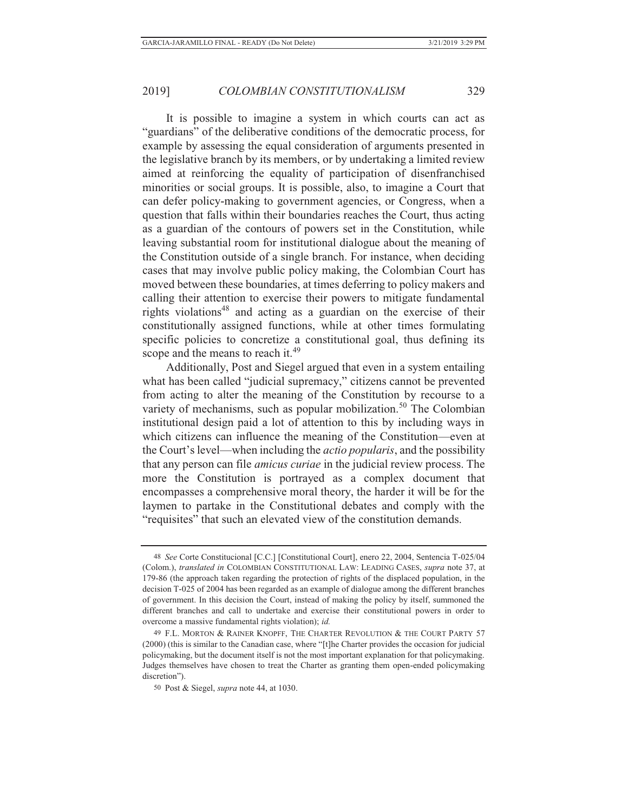It is possible to imagine a system in which courts can act as "guardians" of the deliberative conditions of the democratic process, for example by assessing the equal consideration of arguments presented in the legislative branch by its members, or by undertaking a limited review aimed at reinforcing the equality of participation of disenfranchised minorities or social groups. It is possible, also, to imagine a Court that can defer policy-making to government agencies, or Congress, when a question that falls within their boundaries reaches the Court, thus acting as a guardian of the contours of powers set in the Constitution, while leaving substantial room for institutional dialogue about the meaning of the Constitution outside of a single branch. For instance, when deciding cases that may involve public policy making, the Colombian Court has moved between these boundaries, at times deferring to policy makers and calling their attention to exercise their powers to mitigate fundamental rights violations<sup>48</sup> and acting as a guardian on the exercise of their constitutionally assigned functions, while at other times formulating specific policies to concretize a constitutional goal, thus defining its scope and the means to reach it.<sup>49</sup>

Additionally, Post and Siegel argued that even in a system entailing what has been called "judicial supremacy," citizens cannot be prevented from acting to alter the meaning of the Constitution by recourse to a variety of mechanisms, such as popular mobilization.<sup>50</sup> The Colombian institutional design paid a lot of attention to this by including ways in which citizens can influence the meaning of the Constitution—even at the Court's level—when including the *actio popularis*, and the possibility that any person can file *amicus curiae* in the judicial review process. The more the Constitution is portrayed as a complex document that encompasses a comprehensive moral theory, the harder it will be for the laymen to partake in the Constitutional debates and comply with the "requisites" that such an elevated view of the constitution demands.

<sup>48</sup> *See* Corte Constitucional [C.C.] [Constitutional Court], enero 22, 2004, Sentencia T-025/04 (Colom.), *translated in* COLOMBIAN CONSTITUTIONAL LAW: LEADING CASES, *supra* note 37, at 179-86 (the approach taken regarding the protection of rights of the displaced population, in the decision T-025 of 2004 has been regarded as an example of dialogue among the different branches of government. In this decision the Court, instead of making the policy by itself, summoned the different branches and call to undertake and exercise their constitutional powers in order to overcome a massive fundamental rights violation); *id.*

<sup>49</sup> F.L. MORTON & RAINER KNOPFF, THE CHARTER REVOLUTION & THE COURT PARTY 57 (2000) (this is similar to the Canadian case, where "[t]he Charter provides the occasion for judicial policymaking, but the document itself is not the most important explanation for that policymaking. Judges themselves have chosen to treat the Charter as granting them open-ended policymaking discretion").

<sup>50</sup> Post & Siegel, *supra* note 44, at 1030.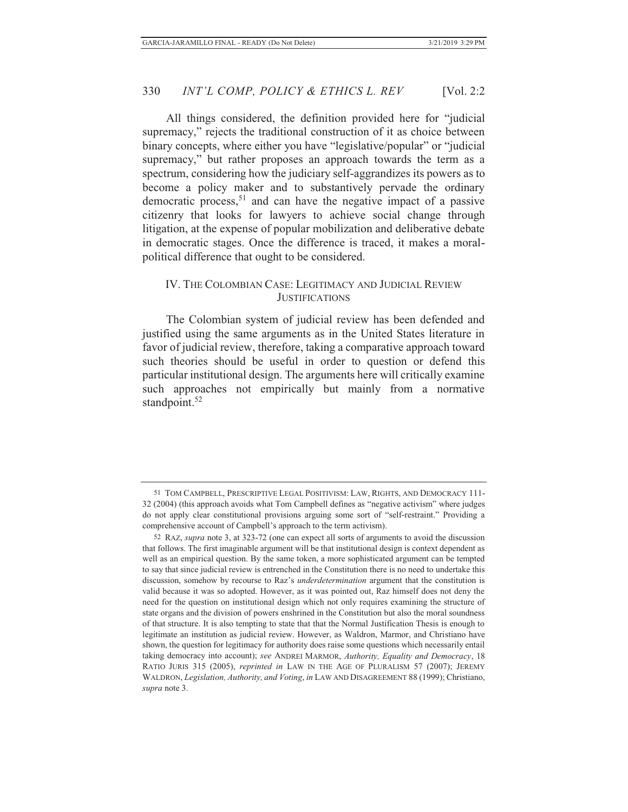All things considered, the definition provided here for "judicial supremacy," rejects the traditional construction of it as choice between binary concepts, where either you have "legislative/popular" or "judicial supremacy," but rather proposes an approach towards the term as a spectrum, considering how the judiciary self-aggrandizes its powers as to become a policy maker and to substantively pervade the ordinary democratic process,  $51$  and can have the negative impact of a passive citizenry that looks for lawyers to achieve social change through litigation, at the expense of popular mobilization and deliberative debate in democratic stages. Once the difference is traced, it makes a moralpolitical difference that ought to be considered.

### IV. THE COLOMBIAN CASE: LEGITIMACY AND JUDICIAL REVIEW **JUSTIFICATIONS**

The Colombian system of judicial review has been defended and justified using the same arguments as in the United States literature in favor of judicial review, therefore, taking a comparative approach toward such theories should be useful in order to question or defend this particular institutional design. The arguments here will critically examine such approaches not empirically but mainly from a normative standpoint.<sup>52</sup>

<sup>51</sup> TOM CAMPBELL, PRESCRIPTIVE LEGAL POSITIVISM: LAW, RIGHTS, AND DEMOCRACY 111- 32 (2004) (this approach avoids what Tom Campbell defines as "negative activism" where judges do not apply clear constitutional provisions arguing some sort of "self-restraint." Providing a comprehensive account of Campbell's approach to the term activism).

<sup>52</sup> RAZ, *supra* note 3, at 323-72 (one can expect all sorts of arguments to avoid the discussion that follows. The first imaginable argument will be that institutional design is context dependent as well as an empirical question. By the same token, a more sophisticated argument can be tempted to say that since judicial review is entrenched in the Constitution there is no need to undertake this discussion, somehow by recourse to Raz's *underdetermination* argument that the constitution is valid because it was so adopted. However, as it was pointed out, Raz himself does not deny the need for the question on institutional design which not only requires examining the structure of state organs and the division of powers enshrined in the Constitution but also the moral soundness of that structure. It is also tempting to state that that the Normal Justification Thesis is enough to legitimate an institution as judicial review. However, as Waldron, Marmor, and Christiano have shown, the question for legitimacy for authority does raise some questions which necessarily entail taking democracy into account); *see* ANDREI MARMOR, *Authority, Equality and Democracy*, 18 RATIO JURIS 315 (2005), *reprinted in* LAW IN THE AGE OF PLURALISM 57 (2007); JEREMY WALDRON, *Legislation, Authority, and Voting*, *in* LAW AND DISAGREEMENT 88 (1999); Christiano, *supra* note 3.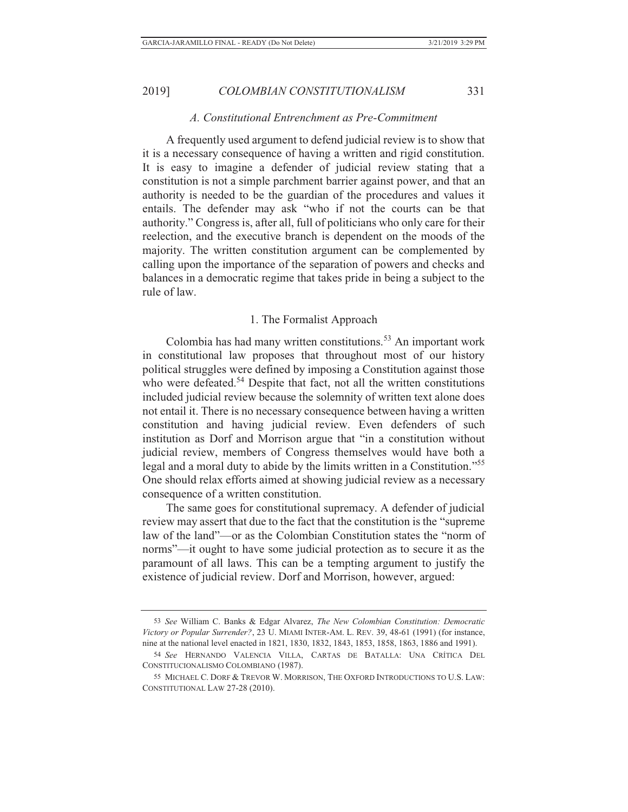### *A. Constitutional Entrenchment as Pre-Commitment*

A frequently used argument to defend judicial review is to show that it is a necessary consequence of having a written and rigid constitution. It is easy to imagine a defender of judicial review stating that a constitution is not a simple parchment barrier against power, and that an authority is needed to be the guardian of the procedures and values it entails. The defender may ask "who if not the courts can be that authority." Congress is, after all, full of politicians who only care for their reelection, and the executive branch is dependent on the moods of the majority. The written constitution argument can be complemented by calling upon the importance of the separation of powers and checks and balances in a democratic regime that takes pride in being a subject to the rule of law.

#### 1. The Formalist Approach

Colombia has had many written constitutions.<sup>53</sup> An important work in constitutional law proposes that throughout most of our history political struggles were defined by imposing a Constitution against those who were defeated.<sup>54</sup> Despite that fact, not all the written constitutions included judicial review because the solemnity of written text alone does not entail it. There is no necessary consequence between having a written constitution and having judicial review. Even defenders of such institution as Dorf and Morrison argue that "in a constitution without judicial review, members of Congress themselves would have both a legal and a moral duty to abide by the limits written in a Constitution."<sup>55</sup> One should relax efforts aimed at showing judicial review as a necessary consequence of a written constitution.

The same goes for constitutional supremacy. A defender of judicial review may assert that due to the fact that the constitution is the "supreme law of the land"—or as the Colombian Constitution states the "norm of norms"—it ought to have some judicial protection as to secure it as the paramount of all laws. This can be a tempting argument to justify the existence of judicial review. Dorf and Morrison, however, argued:

<sup>53</sup> *See* William C. Banks & Edgar Alvarez, *The New Colombian Constitution: Democratic Victory or Popular Surrender?*, 23 U. MIAMI INTER-AM. L. REV. 39, 48-61 (1991) (for instance, nine at the national level enacted in 1821, 1830, 1832, 1843, 1853, 1858, 1863, 1886 and 1991).

<sup>54</sup> *See* HERNANDO VALENCIA VILLA, CARTAS DE BATALLA: UNA CRÍTICA DEL CONSTITUCIONALISMO COLOMBIANO (1987).

<sup>55</sup> MICHAEL C. DORF & TREVOR W. MORRISON, THE OXFORD INTRODUCTIONS TO U.S. LAW: CONSTITUTIONAL LAW 27-28 (2010).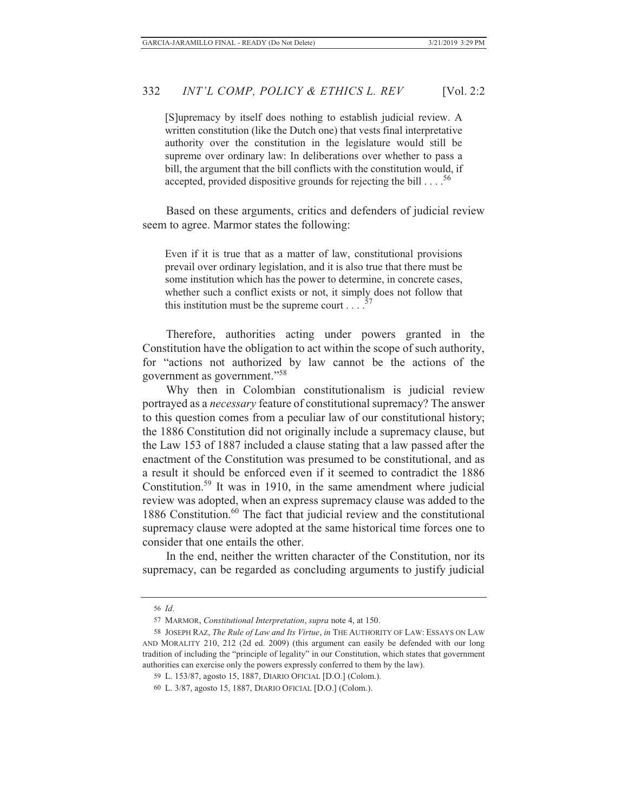[S]upremacy by itself does nothing to establish judicial review. A written constitution (like the Dutch one) that vests final interpretative authority over the constitution in the legislature would still be supreme over ordinary law: In deliberations over whether to pass a bill, the argument that the bill conflicts with the constitution would, if accepted, provided dispositive grounds for rejecting the bill  $\ldots$ .<sup>56</sup>

Based on these arguments, critics and defenders of judicial review seem to agree. Marmor states the following:

Even if it is true that as a matter of law, constitutional provisions prevail over ordinary legislation, and it is also true that there must be some institution which has the power to determine, in concrete cases, whether such a conflict exists or not, it simply does not follow that this institution must be the supreme court  $\dots$ 

Therefore, authorities acting under powers granted in the Constitution have the obligation to act within the scope of such authority, for "actions not authorized by law cannot be the actions of the government as government."58

Why then in Colombian constitutionalism is judicial review portrayed as a *necessary* feature of constitutional supremacy? The answer to this question comes from a peculiar law of our constitutional history; the 1886 Constitution did not originally include a supremacy clause, but the Law 153 of 1887 included a clause stating that a law passed after the enactment of the Constitution was presumed to be constitutional, and as a result it should be enforced even if it seemed to contradict the 1886 Constitution.59 It was in 1910, in the same amendment where judicial review was adopted, when an express supremacy clause was added to the 1886 Constitution.<sup>60</sup> The fact that judicial review and the constitutional supremacy clause were adopted at the same historical time forces one to consider that one entails the other.

In the end, neither the written character of the Constitution, nor its supremacy, can be regarded as concluding arguments to justify judicial

<sup>56</sup> *Id*.

<sup>57</sup> MARMOR, *Constitutional Interpretation*, *supra* note 4, at 150.

<sup>58</sup> JOSEPH RAZ, *The Rule of Law and Its Virtue*, *in* THE AUTHORITY OF LAW: ESSAYS ON LAW AND MORALITY 210, 212 (2d ed. 2009) (this argument can easily be defended with our long tradition of including the "principle of legality" in our Constitution, which states that government authorities can exercise only the powers expressly conferred to them by the law).

<sup>59</sup> L. 153/87, agosto 15, 1887, DIARIO OFICIAL [D.O.] (Colom.).

<sup>60</sup> L. 3/87, agosto 15, 1887, DIARIO OFICIAL [D.O.] (Colom.).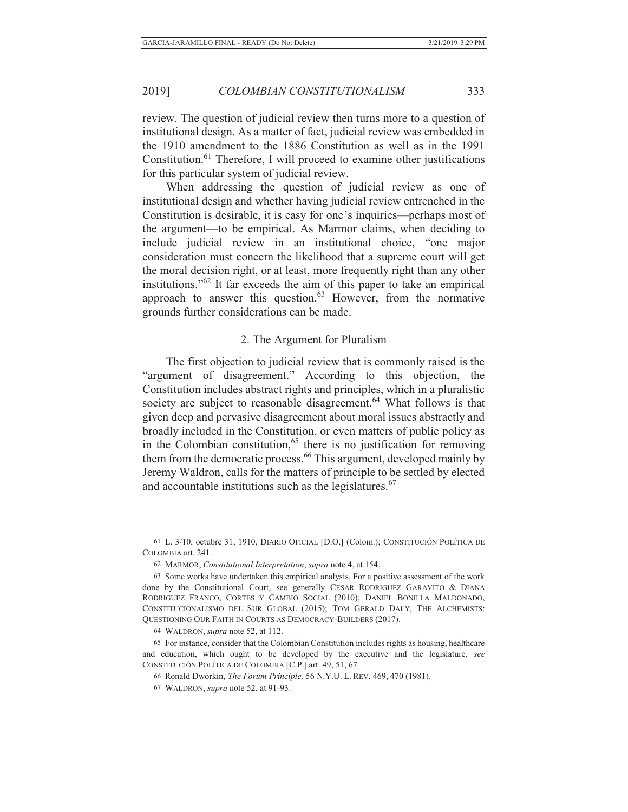review. The question of judicial review then turns more to a question of institutional design. As a matter of fact, judicial review was embedded in the 1910 amendment to the 1886 Constitution as well as in the 1991 Constitution. $^{61}$  Therefore, I will proceed to examine other justifications for this particular system of judicial review.

When addressing the question of judicial review as one of institutional design and whether having judicial review entrenched in the Constitution is desirable, it is easy for one's inquiries—perhaps most of the argument—to be empirical. As Marmor claims, when deciding to include judicial review in an institutional choice, "one major consideration must concern the likelihood that a supreme court will get the moral decision right, or at least, more frequently right than any other institutions."62 It far exceeds the aim of this paper to take an empirical approach to answer this question. $63$  However, from the normative grounds further considerations can be made.

### 2. The Argument for Pluralism

The first objection to judicial review that is commonly raised is the "argument of disagreement." According to this objection, the Constitution includes abstract rights and principles, which in a pluralistic society are subject to reasonable disagreement.<sup>64</sup> What follows is that given deep and pervasive disagreement about moral issues abstractly and broadly included in the Constitution, or even matters of public policy as in the Colombian constitution, $65$  there is no justification for removing them from the democratic process.<sup>66</sup> This argument, developed mainly by Jeremy Waldron, calls for the matters of principle to be settled by elected and accountable institutions such as the legislatures. $67$ 

<sup>61</sup> L. 3/10, octubre 31, 1910, DIARIO OFICIAL [D.O.] (Colom.); CONSTITUCIÓN POLÍTICA DE COLOMBIA art. 241.

<sup>62</sup> MARMOR, *Constitutional Interpretation*, *supra* note 4, at 154.

<sup>63</sup> Some works have undertaken this empirical analysis. For a positive assessment of the work done by the Constitutional Court, see generally CESAR RODRIGUEZ GARAVITO & DIANA RODRIGUEZ FRANCO, CORTES Y CAMBIO SOCIAL (2010); DANIEL BONILLA MALDONADO, CONSTITUCIONALISMO DEL SUR GLOBAL (2015); TOM GERALD DALY, THE ALCHEMISTS: QUESTIONING OUR FAITH IN COURTS AS DEMOCRACY-BUILDERS (2017).

<sup>64</sup> WALDRON, *supra* note 52, at 112.

<sup>65</sup> For instance, consider that the Colombian Constitution includes rights as housing, healthcare and education, which ought to be developed by the executive and the legislature, *see*  CONSTITUCIÓN POLÍTICA DE COLOMBIA [C.P.] art. 49, 51, 67.

<sup>66</sup> Ronald Dworkin, *The Forum Principle,* 56 N.Y.U. L. REV. 469, 470 (1981).

<sup>67</sup> WALDRON, *supra* note 52, at 91-93.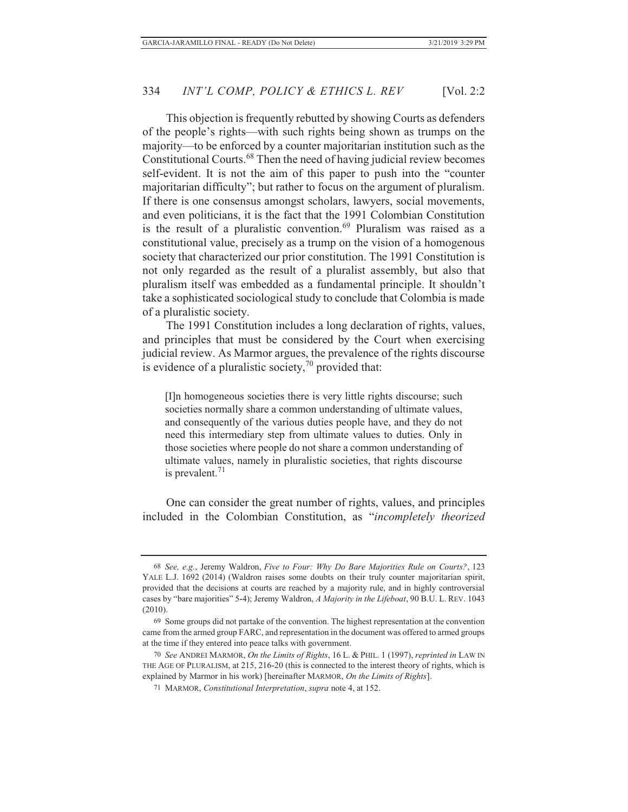This objection is frequently rebutted by showing Courts as defenders of the people's rights—with such rights being shown as trumps on the majority—to be enforced by a counter majoritarian institution such as the Constitutional Courts.<sup>68</sup> Then the need of having judicial review becomes self-evident. It is not the aim of this paper to push into the "counter majoritarian difficulty"; but rather to focus on the argument of pluralism. If there is one consensus amongst scholars, lawyers, social movements, and even politicians, it is the fact that the 1991 Colombian Constitution is the result of a pluralistic convention. $69$  Pluralism was raised as a constitutional value, precisely as a trump on the vision of a homogenous society that characterized our prior constitution. The 1991 Constitution is not only regarded as the result of a pluralist assembly, but also that pluralism itself was embedded as a fundamental principle. It shouldn't take a sophisticated sociological study to conclude that Colombia is made of a pluralistic society.

The 1991 Constitution includes a long declaration of rights, values, and principles that must be considered by the Court when exercising judicial review. As Marmor argues, the prevalence of the rights discourse is evidence of a pluralistic society, $\frac{70}{10}$  provided that:

[I]n homogeneous societies there is very little rights discourse; such societies normally share a common understanding of ultimate values, and consequently of the various duties people have, and they do not need this intermediary step from ultimate values to duties. Only in those societies where people do not share a common understanding of ultimate values, namely in pluralistic societies, that rights discourse is prevalent. $71$ 

One can consider the great number of rights, values, and principles included in the Colombian Constitution, as "*incompletely theorized* 

<sup>68</sup> *See, e.g.*, Jeremy Waldron, *Five to Four: Why Do Bare Majorities Rule on Courts?*, 123 YALE L.J. 1692 (2014) (Waldron raises some doubts on their truly counter majoritarian spirit, provided that the decisions at courts are reached by a majority rule, and in highly controversial cases by "bare majorities" 5-4); Jeremy Waldron, *A Majority in the Lifeboat*, 90 B.U. L. REV. 1043 (2010).

<sup>69</sup> Some groups did not partake of the convention. The highest representation at the convention came from the armed group FARC, and representation in the document was offered to armed groups at the time if they entered into peace talks with government.

<sup>70</sup> *See* ANDREI MARMOR, *On the Limits of Rights*, 16 L. & PHIL. 1 (1997), *reprinted in* LAW IN THE AGE OF PLURALISM, at 215, 216-20 (this is connected to the interest theory of rights, which is explained by Marmor in his work) [hereinafter MARMOR, *On the Limits of Rights*].

<sup>71</sup> MARMOR, *Constitutional Interpretation*, *supra* note 4, at 152.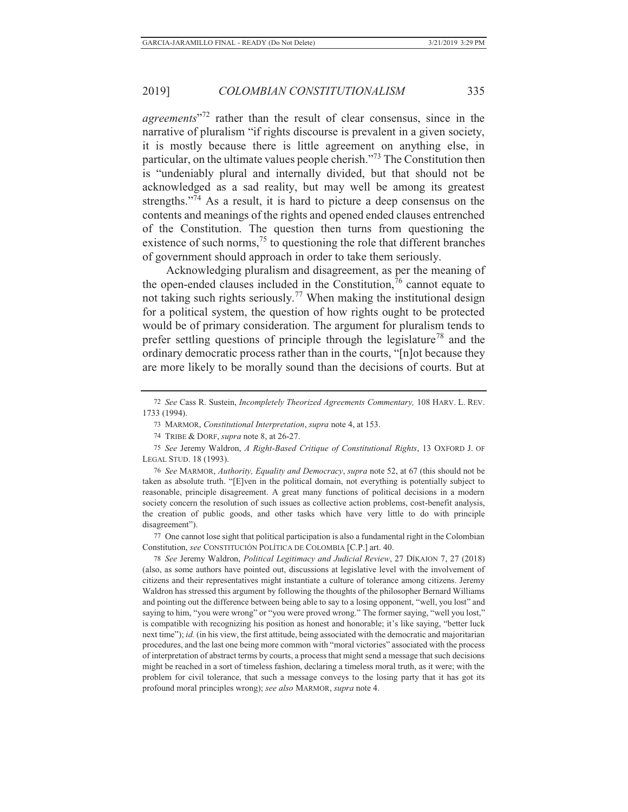*agreements*"<sup>72</sup> rather than the result of clear consensus, since in the narrative of pluralism "if rights discourse is prevalent in a given society, it is mostly because there is little agreement on anything else, in particular, on the ultimate values people cherish."73 The Constitution then is "undeniably plural and internally divided, but that should not be acknowledged as a sad reality, but may well be among its greatest strengths."<sup>74</sup> As a result, it is hard to picture a deep consensus on the contents and meanings of the rights and opened ended clauses entrenched of the Constitution. The question then turns from questioning the existence of such norms, $7<sup>5</sup>$  to questioning the role that different branches of government should approach in order to take them seriously.

Acknowledging pluralism and disagreement, as per the meaning of the open-ended clauses included in the Constitution,  $76$  cannot equate to not taking such rights seriously.<sup>77</sup> When making the institutional design for a political system, the question of how rights ought to be protected would be of primary consideration. The argument for pluralism tends to prefer settling questions of principle through the legislature<sup>78</sup> and the ordinary democratic process rather than in the courts, "[n]ot because they are more likely to be morally sound than the decisions of courts. But at

76 *See* MARMOR, *Authority, Equality and Democracy*, *supra* note 52, at 67 (this should not be taken as absolute truth. "[E]ven in the political domain, not everything is potentially subject to reasonable, principle disagreement. A great many functions of political decisions in a modern society concern the resolution of such issues as collective action problems, cost-benefit analysis, the creation of public goods, and other tasks which have very little to do with principle disagreement").

77 One cannot lose sight that political participation is also a fundamental right in the Colombian Constitution, *see* CONSTITUCIÓN POLÍTICA DE COLOMBIA [C.P.] art. 40.

78 *See* Jeremy Waldron, *Political Legitimacy and Judicial Review*, 27 DÍKAION 7, 27 (2018) (also, as some authors have pointed out, discussions at legislative level with the involvement of citizens and their representatives might instantiate a culture of tolerance among citizens. Jeremy Waldron has stressed this argument by following the thoughts of the philosopher Bernard Williams and pointing out the difference between being able to say to a losing opponent, "well, you lost" and saying to him, "you were wrong" or "you were proved wrong." The former saying, "well you lost," is compatible with recognizing his position as honest and honorable; it's like saying, "better luck next time"); *id.* (in his view, the first attitude, being associated with the democratic and majoritarian procedures, and the last one being more common with "moral victories" associated with the process of interpretation of abstract terms by courts, a process that might send a message that such decisions might be reached in a sort of timeless fashion, declaring a timeless moral truth, as it were; with the problem for civil tolerance, that such a message conveys to the losing party that it has got its profound moral principles wrong); *see also* MARMOR, *supra* note 4.

<sup>72</sup> *See* Cass R. Sustein, *Incompletely Theorized Agreements Commentary,* 108 HARV. L. REV. 1733 (1994).

<sup>73</sup> MARMOR, *Constitutional Interpretation*, *supra* note 4, at 153.

<sup>74</sup> TRIBE & DORF, *supra* note 8, at 26-27.

<sup>75</sup> *See* Jeremy Waldron, *A Right-Based Critique of Constitutional Rights*, 13 OXFORD J. OF LEGAL STUD. 18 (1993).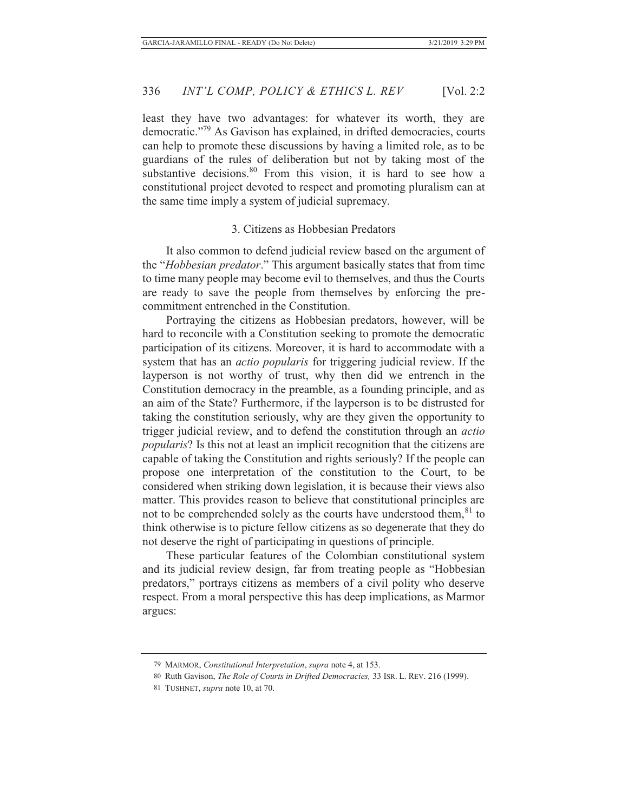least they have two advantages: for whatever its worth, they are democratic."<sup>79</sup> As Gavison has explained, in drifted democracies, courts can help to promote these discussions by having a limited role, as to be guardians of the rules of deliberation but not by taking most of the substantive decisions.<sup>80</sup> From this vision, it is hard to see how a constitutional project devoted to respect and promoting pluralism can at the same time imply a system of judicial supremacy.

# 3. Citizens as Hobbesian Predators

It also common to defend judicial review based on the argument of the "*Hobbesian predator*." This argument basically states that from time to time many people may become evil to themselves, and thus the Courts are ready to save the people from themselves by enforcing the precommitment entrenched in the Constitution.

Portraying the citizens as Hobbesian predators, however, will be hard to reconcile with a Constitution seeking to promote the democratic participation of its citizens. Moreover, it is hard to accommodate with a system that has an *actio popularis* for triggering judicial review. If the layperson is not worthy of trust, why then did we entrench in the Constitution democracy in the preamble, as a founding principle, and as an aim of the State? Furthermore, if the layperson is to be distrusted for taking the constitution seriously, why are they given the opportunity to trigger judicial review, and to defend the constitution through an *actio popularis*? Is this not at least an implicit recognition that the citizens are capable of taking the Constitution and rights seriously? If the people can propose one interpretation of the constitution to the Court, to be considered when striking down legislation, it is because their views also matter. This provides reason to believe that constitutional principles are not to be comprehended solely as the courts have understood them, $81$  to think otherwise is to picture fellow citizens as so degenerate that they do not deserve the right of participating in questions of principle.

These particular features of the Colombian constitutional system and its judicial review design, far from treating people as "Hobbesian predators," portrays citizens as members of a civil polity who deserve respect. From a moral perspective this has deep implications, as Marmor argues:

<sup>79</sup> MARMOR, *Constitutional Interpretation*, *supra* note 4, at 153.

<sup>80</sup> Ruth Gavison, *The Role of Courts in Drifted Democracies,* 33 ISR. L. REV. 216 (1999).

<sup>81</sup> TUSHNET, *supra* note 10, at 70.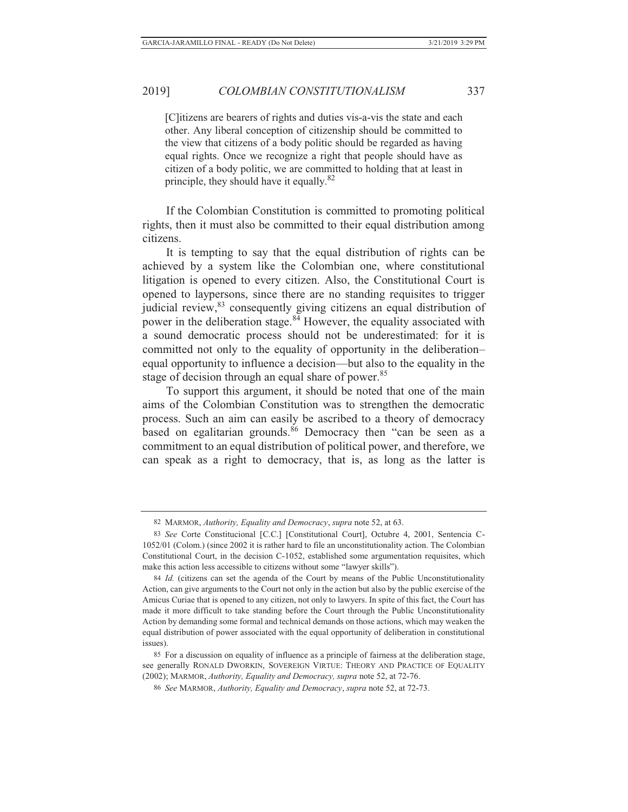[C]itizens are bearers of rights and duties vis-a-vis the state and each other. Any liberal conception of citizenship should be committed to the view that citizens of a body politic should be regarded as having equal rights. Once we recognize a right that people should have as citizen of a body politic, we are committed to holding that at least in principle, they should have it equally. $82$ 

If the Colombian Constitution is committed to promoting political rights, then it must also be committed to their equal distribution among citizens.

It is tempting to say that the equal distribution of rights can be achieved by a system like the Colombian one, where constitutional litigation is opened to every citizen. Also, the Constitutional Court is opened to laypersons, since there are no standing requisites to trigger judicial review,<sup>83</sup> consequently giving citizens an equal distribution of power in the deliberation stage. $84$  However, the equality associated with a sound democratic process should not be underestimated: for it is committed not only to the equality of opportunity in the deliberation– equal opportunity to influence a decision—but also to the equality in the stage of decision through an equal share of power.<sup>85</sup>

To support this argument, it should be noted that one of the main aims of the Colombian Constitution was to strengthen the democratic process. Such an aim can easily be ascribed to a theory of democracy based on egalitarian grounds.<sup>86</sup> Democracy then "can be seen as a commitment to an equal distribution of political power, and therefore, we can speak as a right to democracy, that is, as long as the latter is

<sup>82</sup> MARMOR, *Authority, Equality and Democracy*, *supra* note 52, at 63.

<sup>83</sup> *See* Corte Constitucional [C.C.] [Constitutional Court], Octubre 4, 2001, Sentencia C-1052/01 (Colom.) (since 2002 it is rather hard to file an unconstitutionality action. The Colombian Constitutional Court, in the decision C-1052, established some argumentation requisites, which make this action less accessible to citizens without some "lawyer skills").

<sup>84</sup> *Id.* (citizens can set the agenda of the Court by means of the Public Unconstitutionality Action, can give arguments to the Court not only in the action but also by the public exercise of the Amicus Curiae that is opened to any citizen, not only to lawyers. In spite of this fact, the Court has made it more difficult to take standing before the Court through the Public Unconstitutionality Action by demanding some formal and technical demands on those actions, which may weaken the equal distribution of power associated with the equal opportunity of deliberation in constitutional issues).

<sup>85</sup> For a discussion on equality of influence as a principle of fairness at the deliberation stage, see generally RONALD DWORKIN, SOVEREIGN VIRTUE: THEORY AND PRACTICE OF EQUALITY (2002); MARMOR, *Authority, Equality and Democracy, supra* note 52, at 72-76.

<sup>86</sup> *See* MARMOR, *Authority, Equality and Democracy*, *supra* note 52, at 72-73.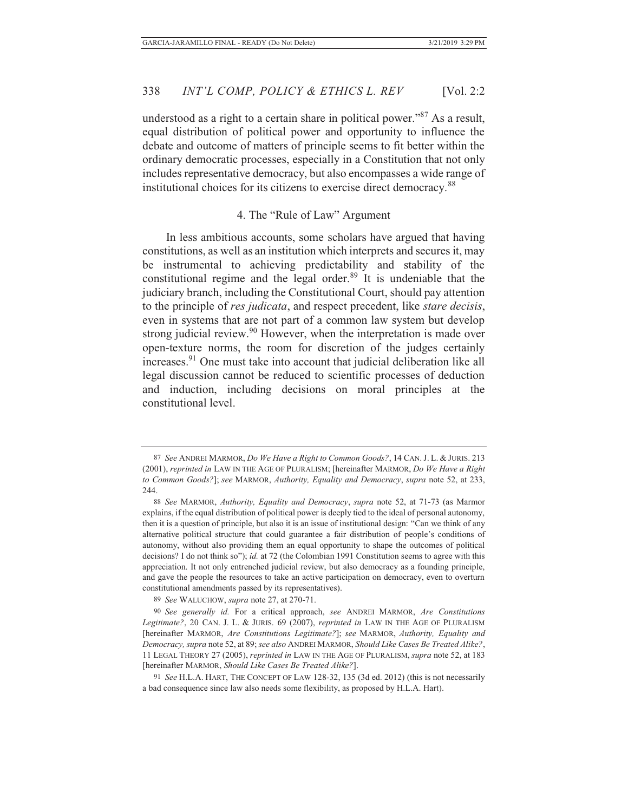understood as a right to a certain share in political power."<sup>87</sup> As a result, equal distribution of political power and opportunity to influence the debate and outcome of matters of principle seems to fit better within the ordinary democratic processes, especially in a Constitution that not only includes representative democracy, but also encompasses a wide range of institutional choices for its citizens to exercise direct democracy.<sup>88</sup>

# 4. The "Rule of Law" Argument

In less ambitious accounts, some scholars have argued that having constitutions, as well as an institution which interprets and secures it, may be instrumental to achieving predictability and stability of the constitutional regime and the legal order. $89$  It is undeniable that the judiciary branch, including the Constitutional Court, should pay attention to the principle of *res judicata*, and respect precedent, like *stare decisis*, even in systems that are not part of a common law system but develop strong judicial review.<sup>90</sup> However, when the interpretation is made over open-texture norms, the room for discretion of the judges certainly increases.<sup>91</sup> One must take into account that judicial deliberation like all legal discussion cannot be reduced to scientific processes of deduction and induction, including decisions on moral principles at the constitutional level.

89 *See* WALUCHOW, *supra* note 27, at 270-71.

90 *See generally id.* For a critical approach, *see* ANDREI MARMOR, *Are Constitutions Legitimate?*, 20 CAN. J. L. & JURIS. 69 (2007), *reprinted in* LAW IN THE AGE OF PLURALISM [hereinafter MARMOR, *Are Constitutions Legitimate?*]; *see* MARMOR, *Authority, Equality and Democracy, supra* note 52, at 89; *see also* ANDREI MARMOR, *Should Like Cases Be Treated Alike?*, 11 LEGAL THEORY 27 (2005), *reprinted in* LAW IN THE AGE OF PLURALISM, *supra* note 52, at 183 [hereinafter MARMOR, *Should Like Cases Be Treated Alike?*].

91 *See* H.L.A. HART, THE CONCEPT OF LAW 128-32, 135 (3d ed. 2012) (this is not necessarily a bad consequence since law also needs some flexibility, as proposed by H.L.A. Hart).

<sup>87</sup> *See* ANDREI MARMOR, *Do We Have a Right to Common Goods?*, 14 CAN.J. L. & JURIS. 213 (2001), *reprinted in* LAW IN THE AGE OF PLURALISM; [hereinafter MARMOR, *Do We Have a Right to Common Goods?*]; *see* MARMOR, *Authority, Equality and Democracy*, *supra* note 52, at 233, 244.

<sup>88</sup> *See* MARMOR, *Authority, Equality and Democracy*, *supra* note 52, at 71-73 (as Marmor explains, if the equal distribution of political power is deeply tied to the ideal of personal autonomy, then it is a question of principle, but also it is an issue of institutional design: "Can we think of any alternative political structure that could guarantee a fair distribution of people's conditions of autonomy, without also providing them an equal opportunity to shape the outcomes of political decisions? I do not think so"); *id.* at 72 (the Colombian 1991 Constitution seems to agree with this appreciation. It not only entrenched judicial review, but also democracy as a founding principle, and gave the people the resources to take an active participation on democracy, even to overturn constitutional amendments passed by its representatives).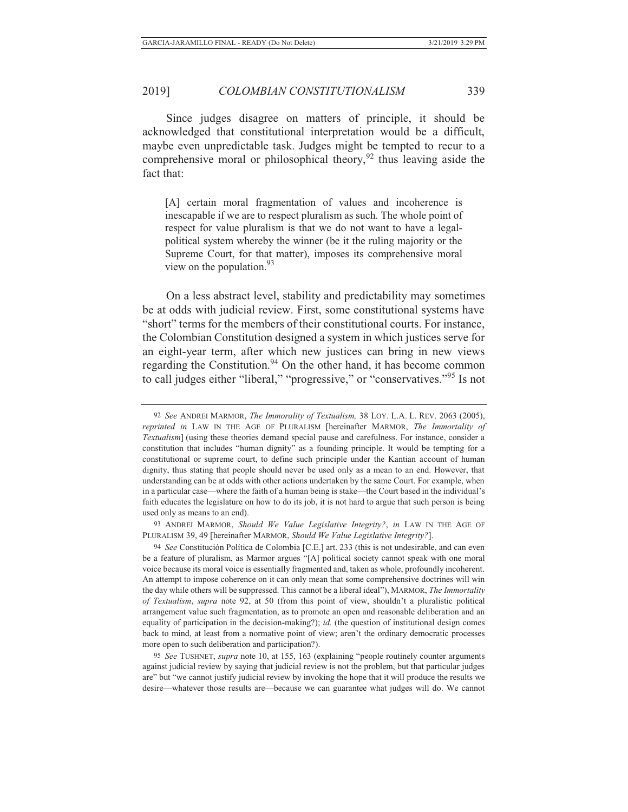Since judges disagree on matters of principle, it should be acknowledged that constitutional interpretation would be a difficult, maybe even unpredictable task. Judges might be tempted to recur to a comprehensive moral or philosophical theory,  $92$  thus leaving aside the fact that:

[A] certain moral fragmentation of values and incoherence is inescapable if we are to respect pluralism as such. The whole point of respect for value pluralism is that we do not want to have a legalpolitical system whereby the winner (be it the ruling majority or the Supreme Court, for that matter), imposes its comprehensive moral view on the population. $93$ 

On a less abstract level, stability and predictability may sometimes be at odds with judicial review. First, some constitutional systems have "short" terms for the members of their constitutional courts. For instance, the Colombian Constitution designed a system in which justices serve for an eight-year term, after which new justices can bring in new views regarding the Constitution.<sup>94</sup> On the other hand, it has become common to call judges either "liberal," "progressive," or "conservatives."<sup>95</sup> Is not

93 ANDREI MARMOR, *Should We Value Legislative Integrity?*, *in* LAW IN THE AGE OF PLURALISM 39, 49 [hereinafter MARMOR, *Should We Value Legislative Integrity?*].

94 *See* Constitución Política de Colombia [C.E.] art. 233 (this is not undesirable, and can even be a feature of pluralism, as Marmor argues "[A] political society cannot speak with one moral voice because its moral voice is essentially fragmented and, taken as whole, profoundly incoherent. An attempt to impose coherence on it can only mean that some comprehensive doctrines will win the day while others will be suppressed. This cannot be a liberal ideal"), MARMOR, *The Immortality of Textualism*, *supra* note 92, at 50 (from this point of view, shouldn't a pluralistic political arrangement value such fragmentation, as to promote an open and reasonable deliberation and an equality of participation in the decision-making?); *id.* (the question of institutional design comes back to mind, at least from a normative point of view; aren't the ordinary democratic processes more open to such deliberation and participation?).

95 *See* TUSHNET, *supra* note 10, at 155, 163 (explaining "people routinely counter arguments against judicial review by saying that judicial review is not the problem, but that particular judges are" but "we cannot justify judicial review by invoking the hope that it will produce the results we desire—whatever those results are—because we can guarantee what judges will do. We cannot

<sup>92</sup> *See* ANDREI MARMOR, *The Immorality of Textualism,* 38 LOY. L.A. L. REV. 2063 (2005), *reprinted in* LAW IN THE AGE OF PLURALISM [hereinafter MARMOR, *The Immortality of Textualism*] (using these theories demand special pause and carefulness. For instance, consider a constitution that includes "human dignity" as a founding principle. It would be tempting for a constitutional or supreme court, to define such principle under the Kantian account of human dignity, thus stating that people should never be used only as a mean to an end. However, that understanding can be at odds with other actions undertaken by the same Court. For example, when in a particular case—where the faith of a human being is stake—the Court based in the individual's faith educates the legislature on how to do its job, it is not hard to argue that such person is being used only as means to an end).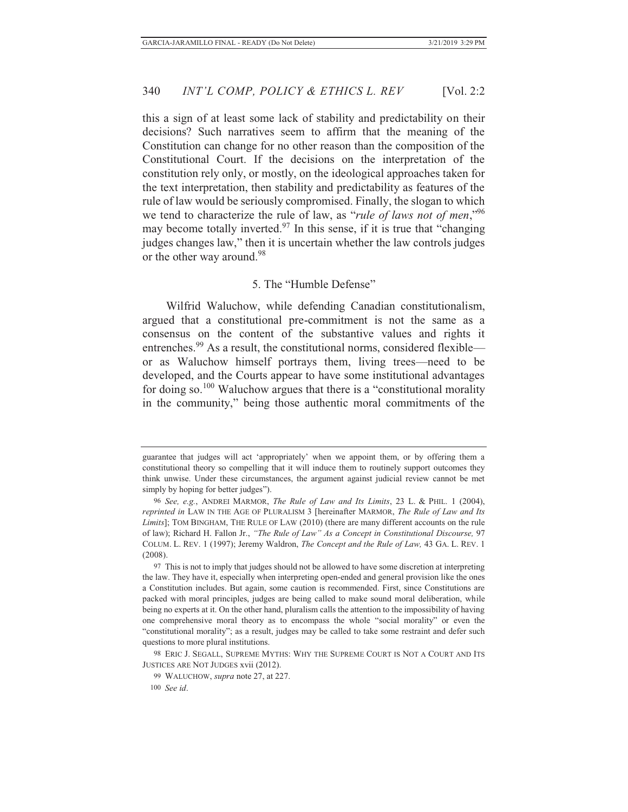this a sign of at least some lack of stability and predictability on their decisions? Such narratives seem to affirm that the meaning of the Constitution can change for no other reason than the composition of the Constitutional Court. If the decisions on the interpretation of the constitution rely only, or mostly, on the ideological approaches taken for the text interpretation, then stability and predictability as features of the rule of law would be seriously compromised. Finally, the slogan to which we tend to characterize the rule of law, as "*rule of laws not of men*,"<sup>96</sup> may become totally inverted. $97$  In this sense, if it is true that "changing judges changes law," then it is uncertain whether the law controls judges or the other way around.<sup>98</sup>

#### 5. The "Humble Defense"

Wilfrid Waluchow, while defending Canadian constitutionalism, argued that a constitutional pre-commitment is not the same as a consensus on the content of the substantive values and rights it entrenches.<sup>99</sup> As a result, the constitutional norms, considered flexible or as Waluchow himself portrays them, living trees—need to be developed, and the Courts appear to have some institutional advantages for doing so.<sup>100</sup> Waluchow argues that there is a "constitutional morality" in the community," being those authentic moral commitments of the

guarantee that judges will act 'appropriately' when we appoint them, or by offering them a constitutional theory so compelling that it will induce them to routinely support outcomes they think unwise. Under these circumstances, the argument against judicial review cannot be met simply by hoping for better judges").

<sup>96</sup> *See, e.g.*, ANDREI MARMOR, *The Rule of Law and Its Limits*, 23 L. & PHIL. 1 (2004), *reprinted in* LAW IN THE AGE OF PLURALISM 3 [hereinafter MARMOR, *The Rule of Law and Its Limits*]; TOM BINGHAM, THE RULE OF LAW (2010) (there are many different accounts on the rule of law); Richard H. Fallon Jr., *"The Rule of Law" As a Concept in Constitutional Discourse,* 97 COLUM. L. REV. 1 (1997); Jeremy Waldron, *The Concept and the Rule of Law,* 43 GA. L. REV. 1 (2008).

<sup>97</sup> This is not to imply that judges should not be allowed to have some discretion at interpreting the law. They have it, especially when interpreting open-ended and general provision like the ones a Constitution includes. But again, some caution is recommended. First, since Constitutions are packed with moral principles, judges are being called to make sound moral deliberation, while being no experts at it. On the other hand, pluralism calls the attention to the impossibility of having one comprehensive moral theory as to encompass the whole "social morality" or even the "constitutional morality"; as a result, judges may be called to take some restraint and defer such questions to more plural institutions.

<sup>98</sup> ERIC J. SEGALL, SUPREME MYTHS: WHY THE SUPREME COURT IS NOT A COURT AND ITS JUSTICES ARE NOT JUDGES xvii (2012).

<sup>99</sup> WALUCHOW, *supra* note 27, at 227.

<sup>100</sup> *See id*.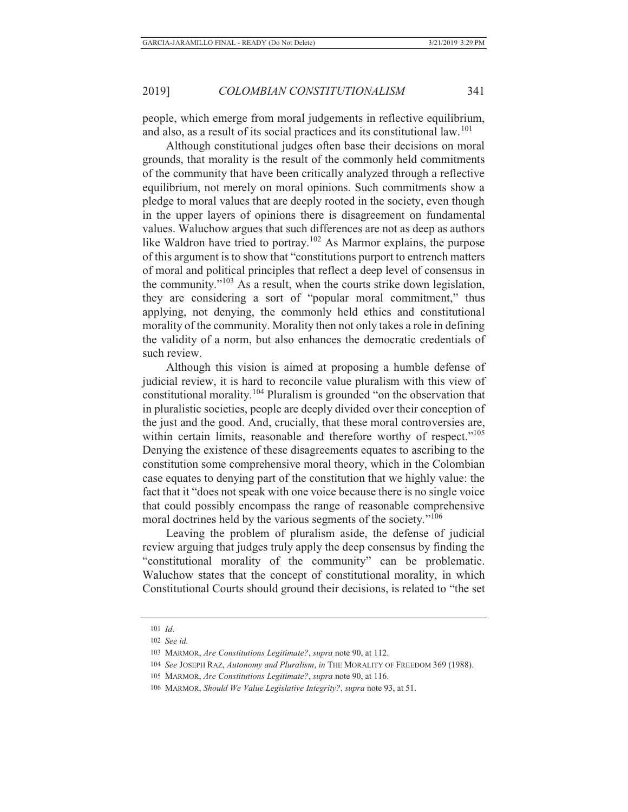people, which emerge from moral judgements in reflective equilibrium, and also, as a result of its social practices and its constitutional law.<sup>101</sup>

Although constitutional judges often base their decisions on moral grounds, that morality is the result of the commonly held commitments of the community that have been critically analyzed through a reflective equilibrium, not merely on moral opinions. Such commitments show a pledge to moral values that are deeply rooted in the society, even though in the upper layers of opinions there is disagreement on fundamental values. Waluchow argues that such differences are not as deep as authors like Waldron have tried to portray.<sup>102</sup> As Marmor explains, the purpose of this argument is to show that "constitutions purport to entrench matters of moral and political principles that reflect a deep level of consensus in the community."103 As a result, when the courts strike down legislation, they are considering a sort of "popular moral commitment," thus applying, not denying, the commonly held ethics and constitutional morality of the community. Morality then not only takes a role in defining the validity of a norm, but also enhances the democratic credentials of such review.

Although this vision is aimed at proposing a humble defense of judicial review, it is hard to reconcile value pluralism with this view of constitutional morality.104 Pluralism is grounded "on the observation that in pluralistic societies, people are deeply divided over their conception of the just and the good. And, crucially, that these moral controversies are, within certain limits, reasonable and therefore worthy of respect."<sup>105</sup> Denying the existence of these disagreements equates to ascribing to the constitution some comprehensive moral theory, which in the Colombian case equates to denying part of the constitution that we highly value: the fact that it "does not speak with one voice because there is no single voice that could possibly encompass the range of reasonable comprehensive moral doctrines held by the various segments of the society."<sup>106</sup>

Leaving the problem of pluralism aside, the defense of judicial review arguing that judges truly apply the deep consensus by finding the "constitutional morality of the community" can be problematic. Waluchow states that the concept of constitutional morality, in which Constitutional Courts should ground their decisions, is related to "the set

<sup>101</sup> *Id*.

<sup>102</sup> *See id.*

<sup>103</sup> MARMOR, *Are Constitutions Legitimate?*, *supra* note 90, at 112.

<sup>104</sup> *See* JOSEPH RAZ, *Autonomy and Pluralism*, *in* THE MORALITY OF FREEDOM 369 (1988).

<sup>105</sup> MARMOR, *Are Constitutions Legitimate?*, *supra* note 90, at 116.

<sup>106</sup> MARMOR, *Should We Value Legislative Integrity?*, *supra* note 93, at 51.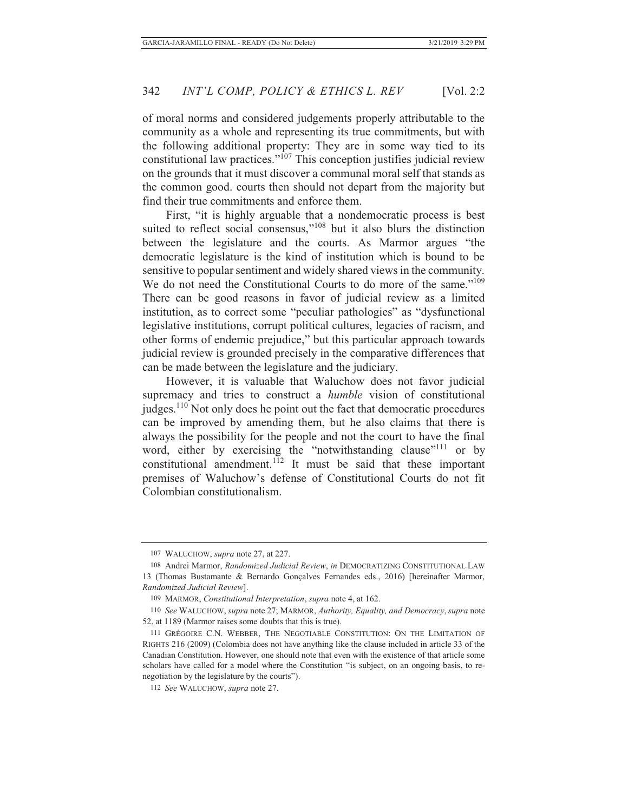of moral norms and considered judgements properly attributable to the community as a whole and representing its true commitments, but with the following additional property: They are in some way tied to its constitutional law practices."107 This conception justifies judicial review on the grounds that it must discover a communal moral self that stands as the common good. courts then should not depart from the majority but find their true commitments and enforce them.

First, "it is highly arguable that a nondemocratic process is best suited to reflect social consensus,"<sup>108</sup> but it also blurs the distinction between the legislature and the courts. As Marmor argues "the democratic legislature is the kind of institution which is bound to be sensitive to popular sentiment and widely shared views in the community. We do not need the Constitutional Courts to do more of the same."<sup>109</sup> There can be good reasons in favor of judicial review as a limited institution, as to correct some "peculiar pathologies" as "dysfunctional legislative institutions, corrupt political cultures, legacies of racism, and other forms of endemic prejudice," but this particular approach towards judicial review is grounded precisely in the comparative differences that can be made between the legislature and the judiciary.

However, it is valuable that Waluchow does not favor judicial supremacy and tries to construct a *humble* vision of constitutional judges.<sup>110</sup> Not only does he point out the fact that democratic procedures can be improved by amending them, but he also claims that there is always the possibility for the people and not the court to have the final word, either by exercising the "notwithstanding clause"<sup>111</sup> or by constitutional amendment.<sup>112</sup> It must be said that these important premises of Waluchow's defense of Constitutional Courts do not fit Colombian constitutionalism.

<sup>107</sup> WALUCHOW, *supra* note 27, at 227.

<sup>108</sup> Andrei Marmor, *Randomized Judicial Review*, *in* DEMOCRATIZING CONSTITUTIONAL LAW 13 (Thomas Bustamante & Bernardo Gonçalves Fernandes eds., 2016) [hereinafter Marmor, *Randomized Judicial Review*].

<sup>109</sup> MARMOR, *Constitutional Interpretation*, *supra* note 4, at 162.

<sup>110</sup> *See* WALUCHOW, *supra* note 27; MARMOR, *Authority, Equality, and Democracy*,*supra* note 52, at 1189 (Marmor raises some doubts that this is true).

<sup>111</sup> GRÉGOIRE C.N. WEBBER, THE NEGOTIABLE CONSTITUTION: ON THE LIMITATION OF RIGHTS 216 (2009) (Colombia does not have anything like the clause included in article 33 of the Canadian Constitution. However, one should note that even with the existence of that article some scholars have called for a model where the Constitution "is subject, on an ongoing basis, to renegotiation by the legislature by the courts").

<sup>112</sup> *See* WALUCHOW, *supra* note 27.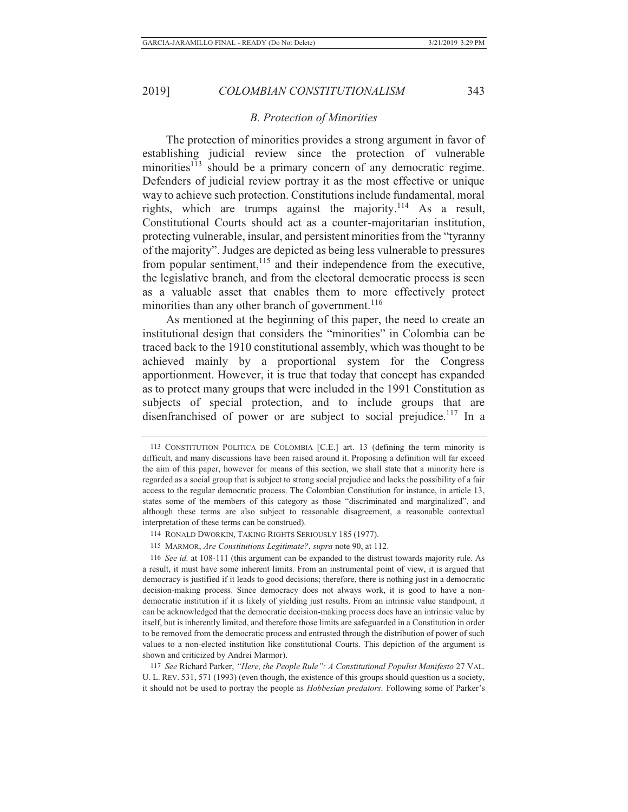### *B. Protection of Minorities*

The protection of minorities provides a strong argument in favor of establishing judicial review since the protection of vulnerable minorities<sup>113</sup> should be a primary concern of any democratic regime. Defenders of judicial review portray it as the most effective or unique way to achieve such protection. Constitutions include fundamental, moral rights, which are trumps against the majority.<sup>114</sup> As a result, Constitutional Courts should act as a counter-majoritarian institution, protecting vulnerable, insular, and persistent minorities from the "tyranny of the majority". Judges are depicted as being less vulnerable to pressures from popular sentiment, $115$  and their independence from the executive, the legislative branch, and from the electoral democratic process is seen as a valuable asset that enables them to more effectively protect minorities than any other branch of government.<sup>116</sup>

As mentioned at the beginning of this paper, the need to create an institutional design that considers the "minorities" in Colombia can be traced back to the 1910 constitutional assembly, which was thought to be achieved mainly by a proportional system for the Congress apportionment. However, it is true that today that concept has expanded as to protect many groups that were included in the 1991 Constitution as subjects of special protection, and to include groups that are disenfranchised of power or are subject to social prejudice.<sup>117</sup> In a

117 *See* Richard Parker, *"Here, the People Rule": A Constitutional Populist Manifesto* 27 VAL. U. L. REV. 531, 571 (1993) (even though, the existence of this groups should question us a society, it should not be used to portray the people as *Hobbesian predators.* Following some of Parker's

<sup>113</sup> CONSTITUTION POLITICA DE COLOMBIA [C.E.] art. 13 (defining the term minority is difficult, and many discussions have been raised around it. Proposing a definition will far exceed the aim of this paper, however for means of this section, we shall state that a minority here is regarded as a social group that is subject to strong social prejudice and lacks the possibility of a fair access to the regular democratic process. The Colombian Constitution for instance, in article 13, states some of the members of this category as those "discriminated and marginalized", and although these terms are also subject to reasonable disagreement, a reasonable contextual interpretation of these terms can be construed).

<sup>114</sup> RONALD DWORKIN, TAKING RIGHTS SERIOUSLY 185 (1977).

<sup>115</sup> MARMOR, *Are Constitutions Legitimate?*, *supra* note 90, at 112.

<sup>116</sup> *See id.* at 108-111 (this argument can be expanded to the distrust towards majority rule. As a result, it must have some inherent limits. From an instrumental point of view, it is argued that democracy is justified if it leads to good decisions; therefore, there is nothing just in a democratic decision-making process. Since democracy does not always work, it is good to have a nondemocratic institution if it is likely of yielding just results. From an intrinsic value standpoint, it can be acknowledged that the democratic decision-making process does have an intrinsic value by itself, but is inherently limited, and therefore those limits are safeguarded in a Constitution in order to be removed from the democratic process and entrusted through the distribution of power of such values to a non-elected institution like constitutional Courts. This depiction of the argument is shown and criticized by Andrei Marmor).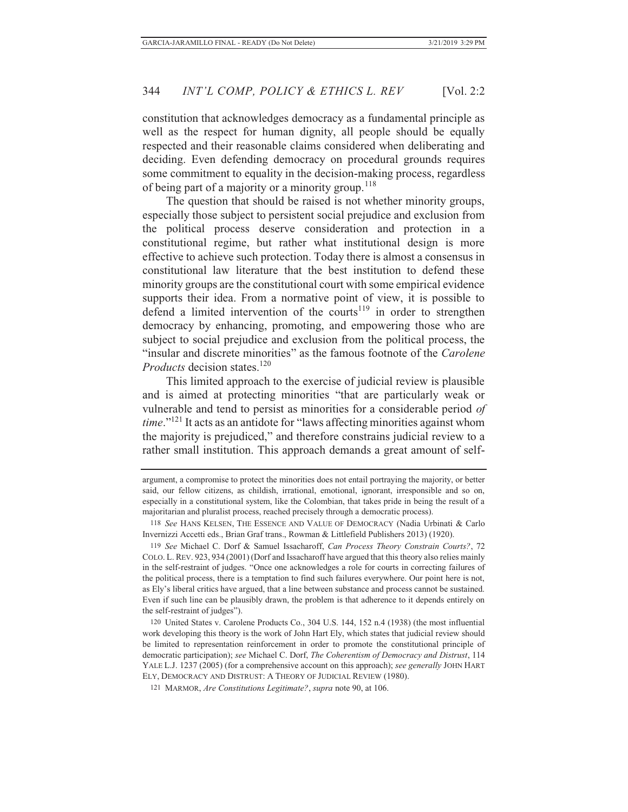constitution that acknowledges democracy as a fundamental principle as well as the respect for human dignity, all people should be equally respected and their reasonable claims considered when deliberating and deciding. Even defending democracy on procedural grounds requires some commitment to equality in the decision-making process, regardless of being part of a majority or a minority group.<sup>118</sup>

The question that should be raised is not whether minority groups, especially those subject to persistent social prejudice and exclusion from the political process deserve consideration and protection in a constitutional regime, but rather what institutional design is more effective to achieve such protection. Today there is almost a consensus in constitutional law literature that the best institution to defend these minority groups are the constitutional court with some empirical evidence supports their idea. From a normative point of view, it is possible to defend a limited intervention of the courts<sup>119</sup> in order to strengthen democracy by enhancing, promoting, and empowering those who are subject to social prejudice and exclusion from the political process, the "insular and discrete minorities" as the famous footnote of the *Carolene Products* decision states.<sup>120</sup>

This limited approach to the exercise of judicial review is plausible and is aimed at protecting minorities "that are particularly weak or vulnerable and tend to persist as minorities for a considerable period *of time*."<sup>121</sup> It acts as an antidote for "laws affecting minorities against whom the majority is prejudiced," and therefore constrains judicial review to a rather small institution. This approach demands a great amount of self-

argument, a compromise to protect the minorities does not entail portraying the majority, or better said, our fellow citizens, as childish, irrational, emotional, ignorant, irresponsible and so on, especially in a constitutional system, like the Colombian, that takes pride in being the result of a majoritarian and pluralist process, reached precisely through a democratic process).

<sup>118</sup> *See* HANS KELSEN, THE ESSENCE AND VALUE OF DEMOCRACY (Nadia Urbinati & Carlo Invernizzi Accetti eds., Brian Graf trans., Rowman & Littlefield Publishers 2013) (1920).

<sup>119</sup> *See* Michael C. Dorf & Samuel Issacharoff, *Can Process Theory Constrain Courts?*, 72 COLO. L. REV. 923, 934 (2001)(Dorf and Issacharoff have argued that this theory also relies mainly in the self-restraint of judges. "Once one acknowledges a role for courts in correcting failures of the political process, there is a temptation to find such failures everywhere. Our point here is not, as Ely's liberal critics have argued, that a line between substance and process cannot be sustained. Even if such line can be plausibly drawn, the problem is that adherence to it depends entirely on the self-restraint of judges").

<sup>120</sup> United States v. Carolene Products Co., 304 U.S. 144, 152 n.4 (1938) (the most influential work developing this theory is the work of John Hart Ely, which states that judicial review should be limited to representation reinforcement in order to promote the constitutional principle of democratic participation); *see* Michael C. Dorf, *The Coherentism of Democracy and Distrust*, 114 YALE L.J. 1237 (2005) (for a comprehensive account on this approach); *see generally* JOHN HART ELY, DEMOCRACY AND DISTRUST: A THEORY OF JUDICIAL REVIEW (1980).

<sup>121</sup> MARMOR, *Are Constitutions Legitimate?*, *supra* note 90, at 106.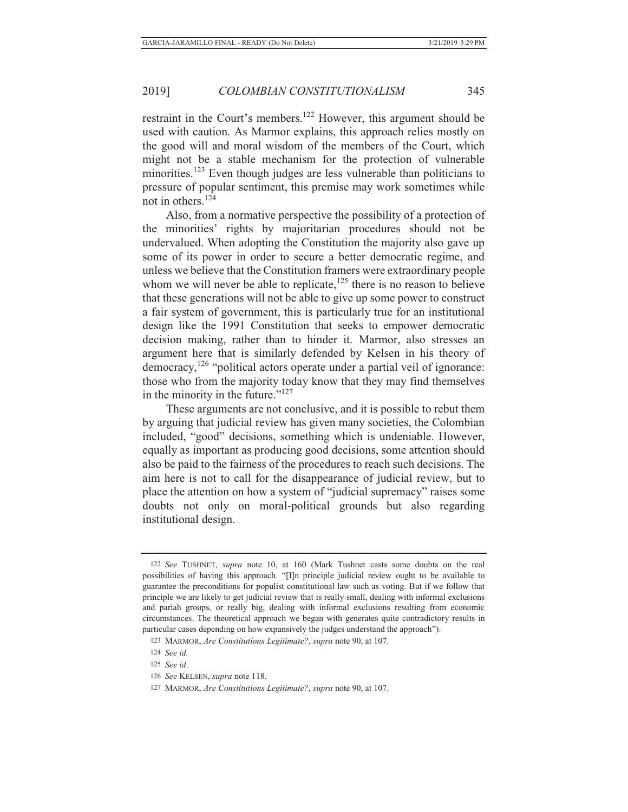restraint in the Court's members.122 However, this argument should be used with caution. As Marmor explains, this approach relies mostly on the good will and moral wisdom of the members of the Court, which might not be a stable mechanism for the protection of vulnerable minorities.<sup>123</sup> Even though judges are less vulnerable than politicians to pressure of popular sentiment, this premise may work sometimes while not in others.124

Also, from a normative perspective the possibility of a protection of the minorities' rights by majoritarian procedures should not be undervalued. When adopting the Constitution the majority also gave up some of its power in order to secure a better democratic regime, and unless we believe that the Constitution framers were extraordinary people whom we will never be able to replicate, $125$  there is no reason to believe that these generations will not be able to give up some power to construct a fair system of government, this is particularly true for an institutional design like the 1991 Constitution that seeks to empower democratic decision making, rather than to hinder it. Marmor, also stresses an argument here that is similarly defended by Kelsen in his theory of democracy,<sup>126</sup> "political actors operate under a partial veil of ignorance: those who from the majority today know that they may find themselves in the minority in the future."<sup>127</sup>

These arguments are not conclusive, and it is possible to rebut them by arguing that judicial review has given many societies, the Colombian included, "good" decisions, something which is undeniable. However, equally as important as producing good decisions, some attention should also be paid to the fairness of the procedures to reach such decisions. The aim here is not to call for the disappearance of judicial review, but to place the attention on how a system of "judicial supremacy" raises some doubts not only on moral-political grounds but also regarding institutional design.

<sup>122</sup> *See* TUSHNET, *supra* note 10, at 160 (Mark Tushnet casts some doubts on the real possibilities of having this approach. "[I]n principle judicial review ought to be available to guarantee the preconditions for populist constitutional law such as voting. But if we follow that principle we are likely to get judicial review that is really small, dealing with informal exclusions and pariah groups, or really big, dealing with informal exclusions resulting from economic circumstances. The theoretical approach we began with generates quite contradictory results in particular cases depending on how expansively the judges understand the approach").

<sup>123</sup> MARMOR, *Are Constitutions Legitimate?*, *supra* note 90, at 107.

<sup>124</sup> *See id.*

<sup>125</sup> *See id*.

<sup>126</sup> *See* KELSEN, *supra* note 118.

<sup>127</sup> MARMOR, *Are Constitutions Legitimate?*, *supra* note 90, at 107.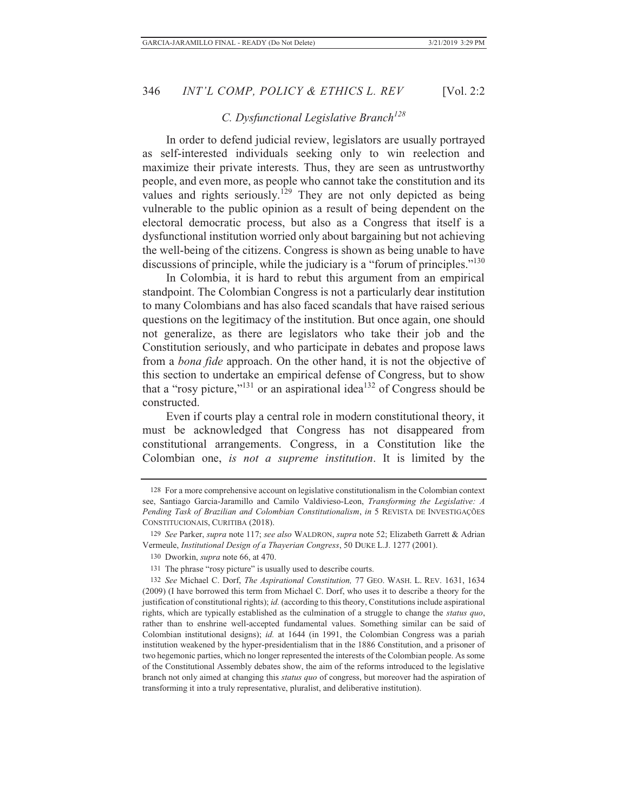# *C. Dysfunctional Legislative Branch<sup>128</sup>*

In order to defend judicial review, legislators are usually portrayed as self-interested individuals seeking only to win reelection and maximize their private interests. Thus, they are seen as untrustworthy people, and even more, as people who cannot take the constitution and its values and rights seriously.<sup>129</sup> They are not only depicted as being vulnerable to the public opinion as a result of being dependent on the electoral democratic process, but also as a Congress that itself is a dysfunctional institution worried only about bargaining but not achieving the well-being of the citizens. Congress is shown as being unable to have discussions of principle, while the judiciary is a "forum of principles."<sup>130</sup>

In Colombia, it is hard to rebut this argument from an empirical standpoint. The Colombian Congress is not a particularly dear institution to many Colombians and has also faced scandals that have raised serious questions on the legitimacy of the institution. But once again, one should not generalize, as there are legislators who take their job and the Constitution seriously, and who participate in debates and propose laws from a *bona fide* approach. On the other hand, it is not the objective of this section to undertake an empirical defense of Congress, but to show that a "rosy picture,"<sup>131</sup> or an aspirational idea<sup>132</sup> of Congress should be constructed.

Even if courts play a central role in modern constitutional theory, it must be acknowledged that Congress has not disappeared from constitutional arrangements. Congress, in a Constitution like the Colombian one, *is not a supreme institution*. It is limited by the

<sup>128</sup> For a more comprehensive account on legislative constitutionalism in the Colombian context see, Santiago Garcia-Jaramillo and Camilo Valdivieso-Leon, *Transforming the Legislative: A Pending Task of Brazilian and Colombian Constitutionalism*, *in* 5 REVISTA DE INVESTIGAÇÕES CONSTITUCIONAIS, CURITIBA (2018).

<sup>129</sup> *See* Parker, *supra* note 117; *see also* WALDRON, *supra* note 52; Elizabeth Garrett & Adrian Vermeule, *Institutional Design of a Thayerian Congress*, 50 DUKE L.J. 1277 (2001).

<sup>130</sup> Dworkin, *supra* note 66, at 470.

<sup>131</sup> The phrase "rosy picture" is usually used to describe courts.

<sup>132</sup> *See* Michael C. Dorf, *The Aspirational Constitution,* 77 GEO. WASH. L. REV. 1631, 1634 (2009) (I have borrowed this term from Michael C. Dorf, who uses it to describe a theory for the justification of constitutional rights); *id.* (according to this theory, Constitutions include aspirational rights, which are typically established as the culmination of a struggle to change the *status quo*, rather than to enshrine well-accepted fundamental values. Something similar can be said of Colombian institutional designs); *id.* at 1644 (in 1991, the Colombian Congress was a pariah institution weakened by the hyper-presidentialism that in the 1886 Constitution, and a prisoner of two hegemonic parties, which no longer represented the interests of the Colombian people. As some of the Constitutional Assembly debates show, the aim of the reforms introduced to the legislative branch not only aimed at changing this *status quo* of congress, but moreover had the aspiration of transforming it into a truly representative, pluralist, and deliberative institution).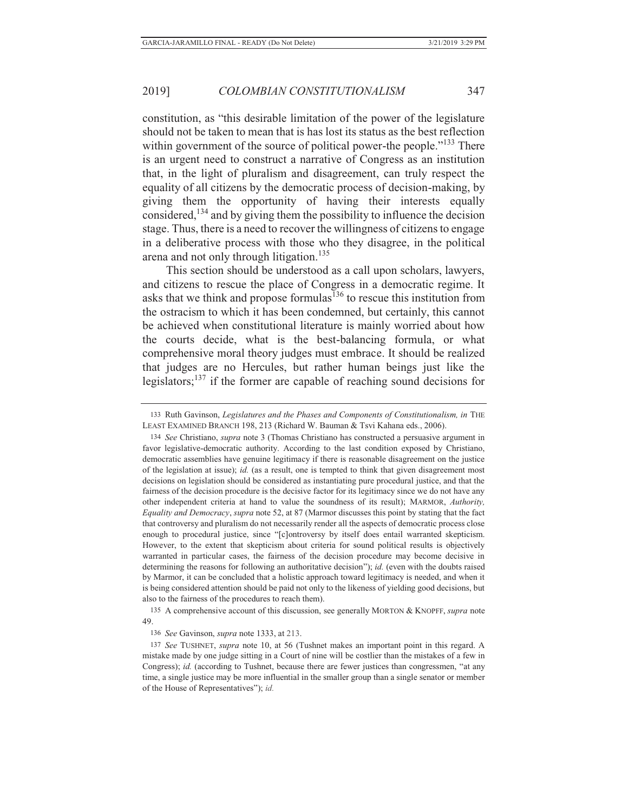constitution, as "this desirable limitation of the power of the legislature should not be taken to mean that is has lost its status as the best reflection within government of the source of political power-the people."<sup>133</sup> There is an urgent need to construct a narrative of Congress as an institution that, in the light of pluralism and disagreement, can truly respect the equality of all citizens by the democratic process of decision-making, by giving them the opportunity of having their interests equally considered,  $^{134}$  and by giving them the possibility to influence the decision stage. Thus, there is a need to recover the willingness of citizens to engage in a deliberative process with those who they disagree, in the political arena and not only through litigation.<sup>135</sup>

This section should be understood as a call upon scholars, lawyers, and citizens to rescue the place of Congress in a democratic regime. It asks that we think and propose formulas<sup> $136$ </sup> to rescue this institution from the ostracism to which it has been condemned, but certainly, this cannot be achieved when constitutional literature is mainly worried about how the courts decide, what is the best-balancing formula, or what comprehensive moral theory judges must embrace. It should be realized that judges are no Hercules, but rather human beings just like the legislators;<sup>137</sup> if the former are capable of reaching sound decisions for

134 *See* Christiano, *supra* note 3 (Thomas Christiano has constructed a persuasive argument in favor legislative-democratic authority. According to the last condition exposed by Christiano, democratic assemblies have genuine legitimacy if there is reasonable disagreement on the justice of the legislation at issue); *id.* (as a result, one is tempted to think that given disagreement most decisions on legislation should be considered as instantiating pure procedural justice, and that the fairness of the decision procedure is the decisive factor for its legitimacy since we do not have any other independent criteria at hand to value the soundness of its result); MARMOR, *Authority, Equality and Democracy*, *supra* note 52, at 87 (Marmor discusses this point by stating that the fact that controversy and pluralism do not necessarily render all the aspects of democratic process close enough to procedural justice, since "[c]ontroversy by itself does entail warranted skepticism. However, to the extent that skepticism about criteria for sound political results is objectively warranted in particular cases, the fairness of the decision procedure may become decisive in determining the reasons for following an authoritative decision"); *id.* (even with the doubts raised by Marmor, it can be concluded that a holistic approach toward legitimacy is needed, and when it is being considered attention should be paid not only to the likeness of yielding good decisions, but also to the fairness of the procedures to reach them).

135 A comprehensive account of this discussion, see generally MORTON & KNOPFF, *supra* note 49.

136 *See* Gavinson, *supra* note 1333, at 213.

137 *See* TUSHNET, *supra* note 10, at 56 (Tushnet makes an important point in this regard. A mistake made by one judge sitting in a Court of nine will be costlier than the mistakes of a few in Congress); *id.* (according to Tushnet, because there are fewer justices than congressmen, "at any time, a single justice may be more influential in the smaller group than a single senator or member of the House of Representatives"); *id.*

<sup>133</sup> Ruth Gavinson, *Legislatures and the Phases and Components of Constitutionalism, in* THE LEAST EXAMINED BRANCH 198, 213 (Richard W. Bauman & Tsvi Kahana eds., 2006).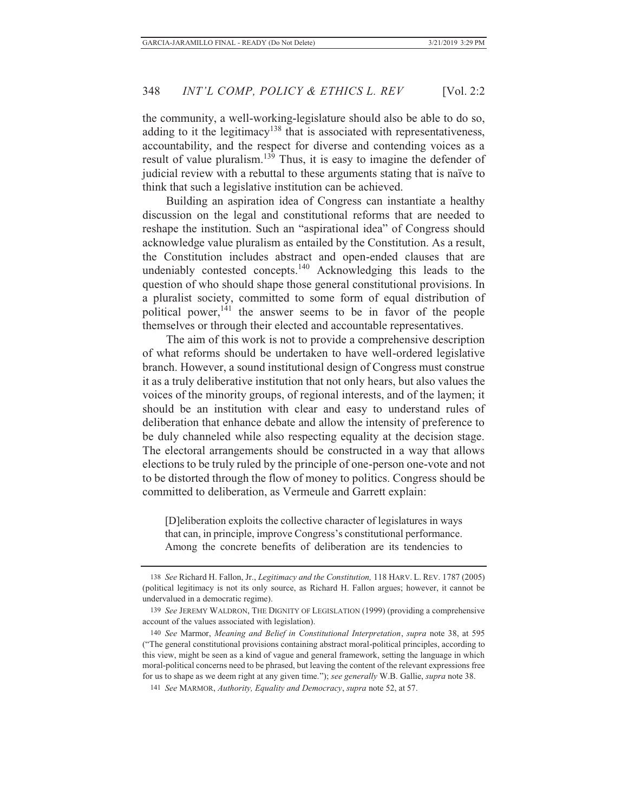the community, a well-working-legislature should also be able to do so, adding to it the legitimacy<sup>138</sup> that is associated with representativeness, accountability, and the respect for diverse and contending voices as a result of value pluralism. $139$  Thus, it is easy to imagine the defender of judicial review with a rebuttal to these arguments stating that is naïve to think that such a legislative institution can be achieved.

Building an aspiration idea of Congress can instantiate a healthy discussion on the legal and constitutional reforms that are needed to reshape the institution. Such an "aspirational idea" of Congress should acknowledge value pluralism as entailed by the Constitution. As a result, the Constitution includes abstract and open-ended clauses that are undeniably contested concepts.<sup>140</sup> Acknowledging this leads to the question of who should shape those general constitutional provisions. In a pluralist society, committed to some form of equal distribution of political power,  $141$  the answer seems to be in favor of the people themselves or through their elected and accountable representatives.

The aim of this work is not to provide a comprehensive description of what reforms should be undertaken to have well-ordered legislative branch. However, a sound institutional design of Congress must construe it as a truly deliberative institution that not only hears, but also values the voices of the minority groups, of regional interests, and of the laymen; it should be an institution with clear and easy to understand rules of deliberation that enhance debate and allow the intensity of preference to be duly channeled while also respecting equality at the decision stage. The electoral arrangements should be constructed in a way that allows elections to be truly ruled by the principle of one-person one-vote and not to be distorted through the flow of money to politics. Congress should be committed to deliberation, as Vermeule and Garrett explain:

[D]eliberation exploits the collective character of legislatures in ways that can, in principle, improve Congress's constitutional performance. Among the concrete benefits of deliberation are its tendencies to

<sup>138</sup> *See* Richard H. Fallon, Jr., *Legitimacy and the Constitution,* 118 HARV. L. REV. 1787 (2005) (political legitimacy is not its only source, as Richard H. Fallon argues; however, it cannot be undervalued in a democratic regime).

<sup>139</sup> *See* JEREMY WALDRON, THE DIGNITY OF LEGISLATION (1999) (providing a comprehensive account of the values associated with legislation).

<sup>140</sup> *See* Marmor, *Meaning and Belief in Constitutional Interpretation*, *supra* note 38, at 595 ("The general constitutional provisions containing abstract moral-political principles, according to this view, might be seen as a kind of vague and general framework, setting the language in which moral-political concerns need to be phrased, but leaving the content of the relevant expressions free for us to shape as we deem right at any given time."); *see generally* W.B. Gallie, *supra* note 38.

<sup>141</sup> *See* MARMOR, *Authority, Equality and Democracy*, *supra* note 52, at 57.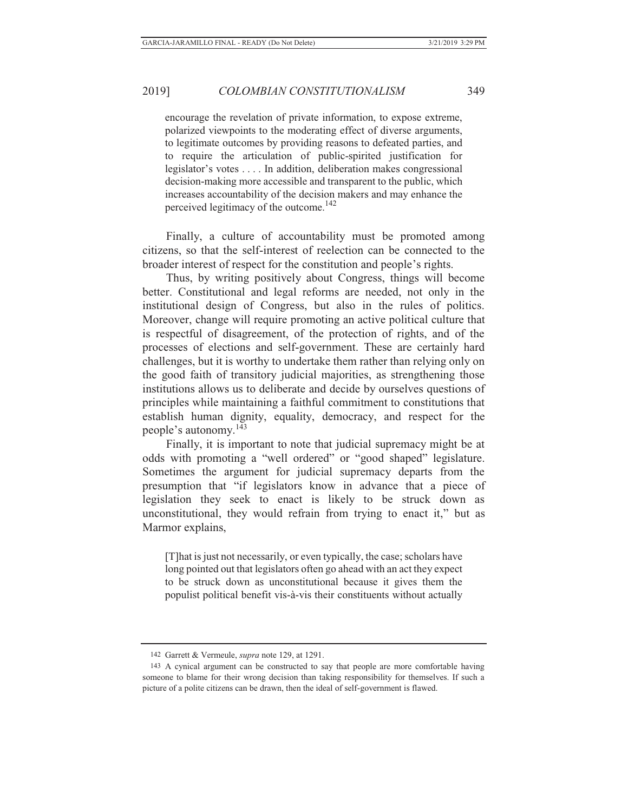encourage the revelation of private information, to expose extreme, polarized viewpoints to the moderating effect of diverse arguments, to legitimate outcomes by providing reasons to defeated parties, and to require the articulation of public-spirited justification for legislator's votes . . . . In addition, deliberation makes congressional decision-making more accessible and transparent to the public, which increases accountability of the decision makers and may enhance the perceived legitimacy of the outcome.<sup>142</sup>

Finally, a culture of accountability must be promoted among citizens, so that the self-interest of reelection can be connected to the broader interest of respect for the constitution and people's rights.

Thus, by writing positively about Congress, things will become better. Constitutional and legal reforms are needed, not only in the institutional design of Congress, but also in the rules of politics. Moreover, change will require promoting an active political culture that is respectful of disagreement, of the protection of rights, and of the processes of elections and self-government. These are certainly hard challenges, but it is worthy to undertake them rather than relying only on the good faith of transitory judicial majorities, as strengthening those institutions allows us to deliberate and decide by ourselves questions of principles while maintaining a faithful commitment to constitutions that establish human dignity, equality, democracy, and respect for the people's autonomy.<sup>143</sup>

Finally, it is important to note that judicial supremacy might be at odds with promoting a "well ordered" or "good shaped" legislature. Sometimes the argument for judicial supremacy departs from the presumption that "if legislators know in advance that a piece of legislation they seek to enact is likely to be struck down as unconstitutional, they would refrain from trying to enact it," but as Marmor explains,

[T]hat is just not necessarily, or even typically, the case; scholars have long pointed out that legislators often go ahead with an act they expect to be struck down as unconstitutional because it gives them the populist political benefit vis-à-vis their constituents without actually

<sup>142</sup> Garrett & Vermeule, *supra* note 129, at 1291.

<sup>143</sup> A cynical argument can be constructed to say that people are more comfortable having someone to blame for their wrong decision than taking responsibility for themselves. If such a picture of a polite citizens can be drawn, then the ideal of self-government is flawed.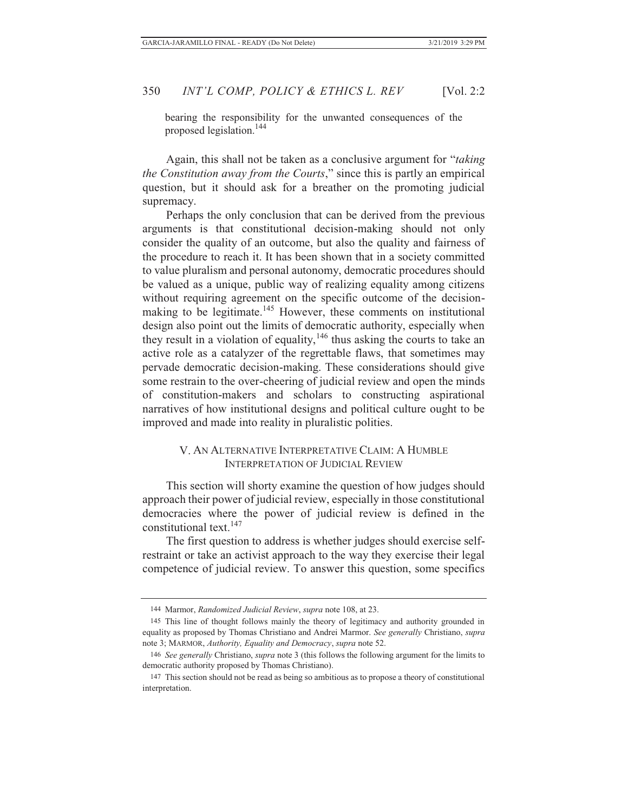bearing the responsibility for the unwanted consequences of the proposed legislation.<sup>144</sup>

Again, this shall not be taken as a conclusive argument for "*taking the Constitution away from the Courts*," since this is partly an empirical question, but it should ask for a breather on the promoting judicial supremacy.

Perhaps the only conclusion that can be derived from the previous arguments is that constitutional decision-making should not only consider the quality of an outcome, but also the quality and fairness of the procedure to reach it. It has been shown that in a society committed to value pluralism and personal autonomy, democratic procedures should be valued as a unique, public way of realizing equality among citizens without requiring agreement on the specific outcome of the decisionmaking to be legitimate.<sup>145</sup> However, these comments on institutional design also point out the limits of democratic authority, especially when they result in a violation of equality,  $146$  thus asking the courts to take an active role as a catalyzer of the regrettable flaws, that sometimes may pervade democratic decision-making. These considerations should give some restrain to the over-cheering of judicial review and open the minds of constitution-makers and scholars to constructing aspirational narratives of how institutional designs and political culture ought to be improved and made into reality in pluralistic polities.

### V. AN ALTERNATIVE INTERPRETATIVE CLAIM: A HUMBLE INTERPRETATION OF JUDICIAL REVIEW

This section will shorty examine the question of how judges should approach their power of judicial review, especially in those constitutional democracies where the power of judicial review is defined in the constitutional text.<sup>147</sup>

The first question to address is whether judges should exercise selfrestraint or take an activist approach to the way they exercise their legal competence of judicial review. To answer this question, some specifics

<sup>144</sup> Marmor, *Randomized Judicial Review*, *supra* note 108, at 23.

<sup>145</sup> This line of thought follows mainly the theory of legitimacy and authority grounded in equality as proposed by Thomas Christiano and Andrei Marmor. *See generally* Christiano, *supra* note 3; MARMOR, *Authority, Equality and Democracy*, *supra* note 52.

<sup>146</sup> *See generally* Christiano, *supra* note 3 (this follows the following argument for the limits to democratic authority proposed by Thomas Christiano).

<sup>147</sup> This section should not be read as being so ambitious as to propose a theory of constitutional interpretation.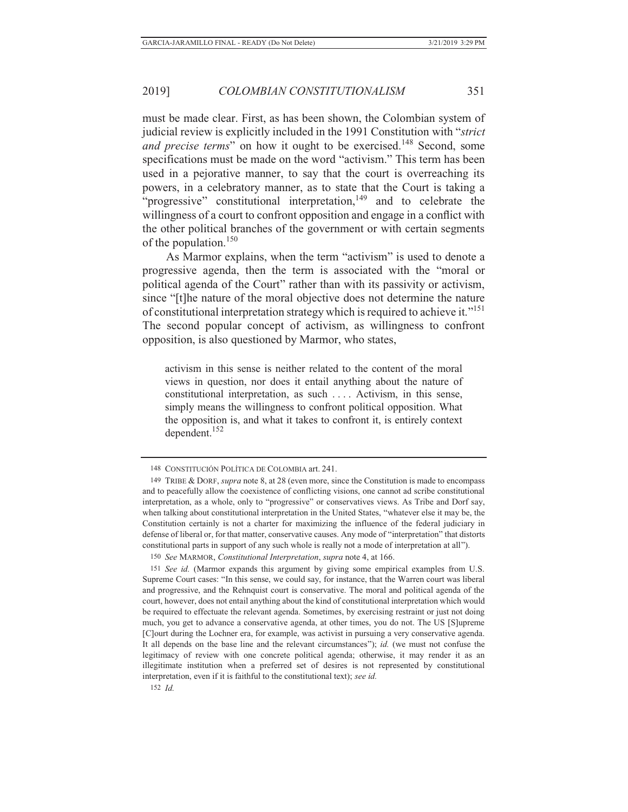must be made clear. First, as has been shown, the Colombian system of judicial review is explicitly included in the 1991 Constitution with "*strict*  and precise terms" on how it ought to be exercised.<sup>148</sup> Second, some specifications must be made on the word "activism." This term has been used in a pejorative manner, to say that the court is overreaching its powers, in a celebratory manner, as to state that the Court is taking a "progressive" constitutional interpretation, $149$  and to celebrate the willingness of a court to confront opposition and engage in a conflict with the other political branches of the government or with certain segments of the population.<sup>150</sup>

As Marmor explains, when the term "activism" is used to denote a progressive agenda, then the term is associated with the "moral or political agenda of the Court" rather than with its passivity or activism, since "[t]he nature of the moral objective does not determine the nature of constitutional interpretation strategy which is required to achieve it."<sup>151</sup> The second popular concept of activism, as willingness to confront opposition, is also questioned by Marmor, who states,

activism in this sense is neither related to the content of the moral views in question, nor does it entail anything about the nature of constitutional interpretation, as such . . . . Activism, in this sense, simply means the willingness to confront political opposition. What the opposition is, and what it takes to confront it, is entirely context dependent.<sup>152</sup>

<sup>148</sup> CONSTITUCIÓN POLÍTICA DE COLOMBIA art. 241.

<sup>149</sup> TRIBE & DORF, *supra* note 8, at 28 (even more, since the Constitution is made to encompass and to peacefully allow the coexistence of conflicting visions, one cannot ad scribe constitutional interpretation, as a whole, only to "progressive" or conservatives views. As Tribe and Dorf say, when talking about constitutional interpretation in the United States, "whatever else it may be, the Constitution certainly is not a charter for maximizing the influence of the federal judiciary in defense of liberal or, for that matter, conservative causes. Any mode of "interpretation" that distorts constitutional parts in support of any such whole is really not a mode of interpretation at all").

<sup>150</sup> *See* MARMOR, *Constitutional Interpretation*, *supra* note 4, at 166.

<sup>151</sup> *See id.* (Marmor expands this argument by giving some empirical examples from U.S. Supreme Court cases: "In this sense, we could say, for instance, that the Warren court was liberal and progressive, and the Rehnquist court is conservative. The moral and political agenda of the court, however, does not entail anything about the kind of constitutional interpretation which would be required to effectuate the relevant agenda. Sometimes, by exercising restraint or just not doing much, you get to advance a conservative agenda, at other times, you do not. The US [S]upreme [C]ourt during the Lochner era, for example, was activist in pursuing a very conservative agenda. It all depends on the base line and the relevant circumstances"); *id.* (we must not confuse the legitimacy of review with one concrete political agenda; otherwise, it may render it as an illegitimate institution when a preferred set of desires is not represented by constitutional interpretation, even if it is faithful to the constitutional text); *see id.*

<sup>152</sup> *Id.*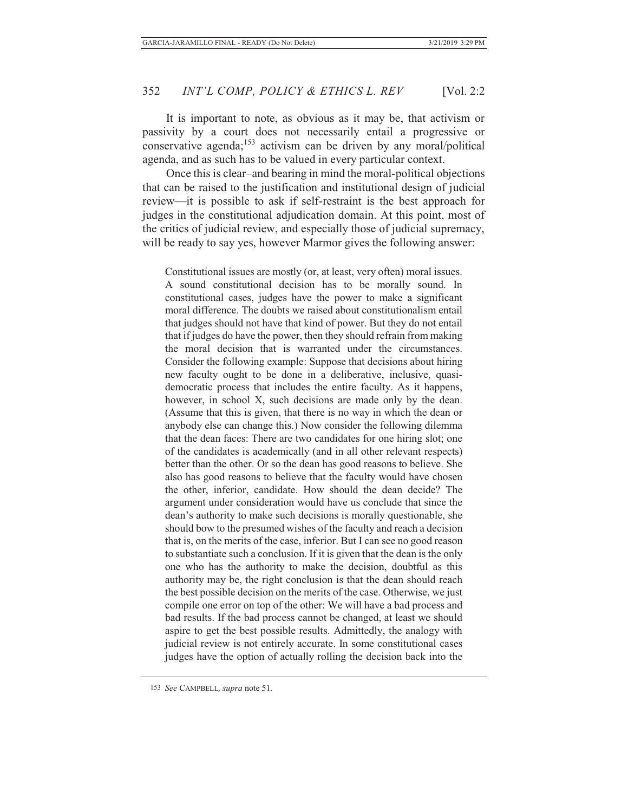It is important to note, as obvious as it may be, that activism or passivity by a court does not necessarily entail a progressive or conservative agenda;<sup>153</sup> activism can be driven by any moral/political agenda, and as such has to be valued in every particular context.

Once this is clear–and bearing in mind the moral-political objections that can be raised to the justification and institutional design of judicial review—it is possible to ask if self-restraint is the best approach for judges in the constitutional adjudication domain. At this point, most of the critics of judicial review, and especially those of judicial supremacy, will be ready to say yes, however Marmor gives the following answer:

Constitutional issues are mostly (or, at least, very often) moral issues. A sound constitutional decision has to be morally sound. In constitutional cases, judges have the power to make a significant moral difference. The doubts we raised about constitutionalism entail that judges should not have that kind of power. But they do not entail that if judges do have the power, then they should refrain from making the moral decision that is warranted under the circumstances. Consider the following example: Suppose that decisions about hiring new faculty ought to be done in a deliberative, inclusive, quasidemocratic process that includes the entire faculty. As it happens, however, in school X, such decisions are made only by the dean. (Assume that this is given, that there is no way in which the dean or anybody else can change this.) Now consider the following dilemma that the dean faces: There are two candidates for one hiring slot; one of the candidates is academically (and in all other relevant respects) better than the other. Or so the dean has good reasons to believe. She also has good reasons to believe that the faculty would have chosen the other, inferior, candidate. How should the dean decide? The argument under consideration would have us conclude that since the dean's authority to make such decisions is morally questionable, she should bow to the presumed wishes of the faculty and reach a decision that is, on the merits of the case, inferior. But I can see no good reason to substantiate such a conclusion. If it is given that the dean is the only one who has the authority to make the decision, doubtful as this authority may be, the right conclusion is that the dean should reach the best possible decision on the merits of the case. Otherwise, we just compile one error on top of the other: We will have a bad process and bad results. If the bad process cannot be changed, at least we should aspire to get the best possible results. Admittedly, the analogy with judicial review is not entirely accurate. In some constitutional cases judges have the option of actually rolling the decision back into the

<sup>153</sup> *See* CAMPBELL*, supra* note 51*.*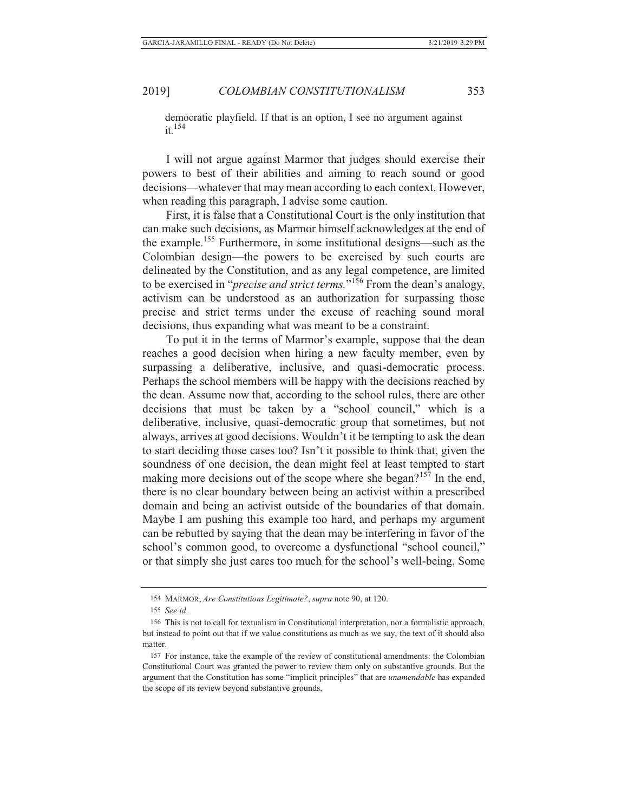democratic playfield. If that is an option, I see no argument against it.<sup>154</sup>

I will not argue against Marmor that judges should exercise their powers to best of their abilities and aiming to reach sound or good decisions—whatever that may mean according to each context. However, when reading this paragraph, I advise some caution.

First, it is false that a Constitutional Court is the only institution that can make such decisions, as Marmor himself acknowledges at the end of the example.155 Furthermore, in some institutional designs—such as the Colombian design—the powers to be exercised by such courts are delineated by the Constitution, and as any legal competence, are limited to be exercised in "*precise and strict terms.*"156 From the dean's analogy, activism can be understood as an authorization for surpassing those precise and strict terms under the excuse of reaching sound moral decisions, thus expanding what was meant to be a constraint.

To put it in the terms of Marmor's example, suppose that the dean reaches a good decision when hiring a new faculty member, even by surpassing a deliberative, inclusive, and quasi-democratic process. Perhaps the school members will be happy with the decisions reached by the dean. Assume now that, according to the school rules, there are other decisions that must be taken by a "school council," which is a deliberative, inclusive, quasi-democratic group that sometimes, but not always, arrives at good decisions. Wouldn't it be tempting to ask the dean to start deciding those cases too? Isn't it possible to think that, given the soundness of one decision, the dean might feel at least tempted to start making more decisions out of the scope where she began?<sup>157</sup> In the end, there is no clear boundary between being an activist within a prescribed domain and being an activist outside of the boundaries of that domain. Maybe I am pushing this example too hard, and perhaps my argument can be rebutted by saying that the dean may be interfering in favor of the school's common good, to overcome a dysfunctional "school council," or that simply she just cares too much for the school's well-being. Some

<sup>154</sup> MARMOR, *Are Constitutions Legitimate?*, *supra* note 90, at 120.

<sup>155</sup> *See id.*

<sup>156</sup> This is not to call for textualism in Constitutional interpretation, nor a formalistic approach, but instead to point out that if we value constitutions as much as we say, the text of it should also matter.

<sup>157</sup> For instance, take the example of the review of constitutional amendments: the Colombian Constitutional Court was granted the power to review them only on substantive grounds. But the argument that the Constitution has some "implicit principles" that are *unamendable* has expanded the scope of its review beyond substantive grounds.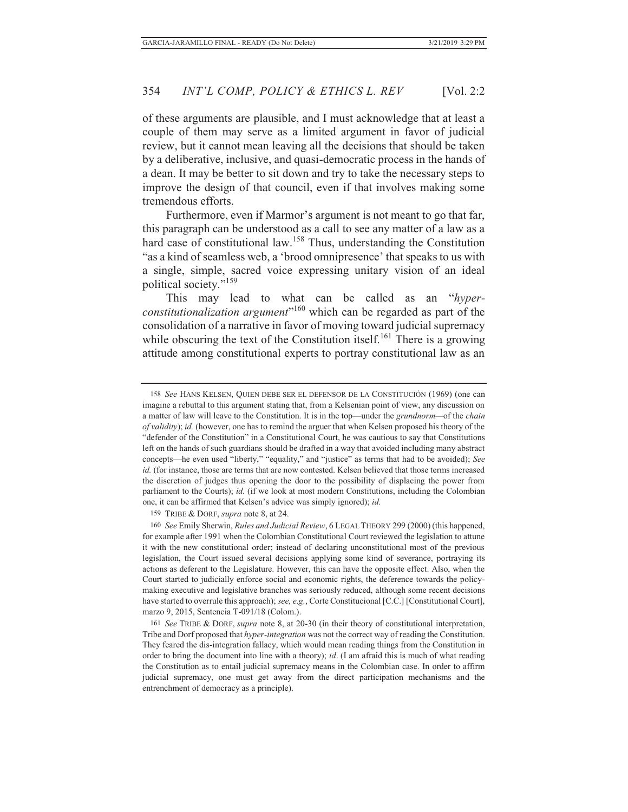of these arguments are plausible, and I must acknowledge that at least a couple of them may serve as a limited argument in favor of judicial review, but it cannot mean leaving all the decisions that should be taken by a deliberative, inclusive, and quasi-democratic process in the hands of a dean. It may be better to sit down and try to take the necessary steps to improve the design of that council, even if that involves making some tremendous efforts.

Furthermore, even if Marmor's argument is not meant to go that far, this paragraph can be understood as a call to see any matter of a law as a hard case of constitutional law.<sup>158</sup> Thus, understanding the Constitution "as a kind of seamless web, a 'brood omnipresence' that speaks to us with a single, simple, sacred voice expressing unitary vision of an ideal political society."<sup>159</sup>

This may lead to what can be called as an "*hyperconstitutionalization argument*"<sup>160</sup> which can be regarded as part of the consolidation of a narrative in favor of moving toward judicial supremacy while obscuring the text of the Constitution itself.<sup>161</sup> There is a growing attitude among constitutional experts to portray constitutional law as an

<sup>158</sup> *See* HANS KELSEN, QUIEN DEBE SER EL DEFENSOR DE LA CONSTITUCIÓN (1969) (one can imagine a rebuttal to this argument stating that, from a Kelsenian point of view, any discussion on a matter of law will leave to the Constitution. It is in the top—under the *grundnorm—*of the *chain of validity*); *id.* (however, one has to remind the arguer that when Kelsen proposed his theory of the "defender of the Constitution" in a Constitutional Court, he was cautious to say that Constitutions left on the hands of such guardians should be drafted in a way that avoided including many abstract concepts—he even used "liberty," "equality," and "justice" as terms that had to be avoided); *See id.* (for instance, those are terms that are now contested. Kelsen believed that those terms increased the discretion of judges thus opening the door to the possibility of displacing the power from parliament to the Courts); *id.* (if we look at most modern Constitutions, including the Colombian one, it can be affirmed that Kelsen's advice was simply ignored); *id.*

<sup>159</sup> TRIBE & DORF, *supra* note 8, at 24.

<sup>160</sup> *See* Emily Sherwin, *Rules and Judicial Review*, 6 LEGAL THEORY 299 (2000) (this happened, for example after 1991 when the Colombian Constitutional Court reviewed the legislation to attune it with the new constitutional order; instead of declaring unconstitutional most of the previous legislation, the Court issued several decisions applying some kind of severance, portraying its actions as deferent to the Legislature. However, this can have the opposite effect. Also, when the Court started to judicially enforce social and economic rights, the deference towards the policymaking executive and legislative branches was seriously reduced, although some recent decisions have started to overrule this approach); *see, e.g.*, Corte Constitucional [C.C.] [Constitutional Court], marzo 9, 2015, Sentencia T-091/18 (Colom.).

<sup>161</sup> *See* TRIBE & DORF, *supra* note 8, at 20-30 (in their theory of constitutional interpretation, Tribe and Dorf proposed that *hyper-integration* was not the correct way of reading the Constitution. They feared the dis-integration fallacy, which would mean reading things from the Constitution in order to bring the document into line with a theory); *id*. (I am afraid this is much of what reading the Constitution as to entail judicial supremacy means in the Colombian case. In order to affirm judicial supremacy, one must get away from the direct participation mechanisms and the entrenchment of democracy as a principle).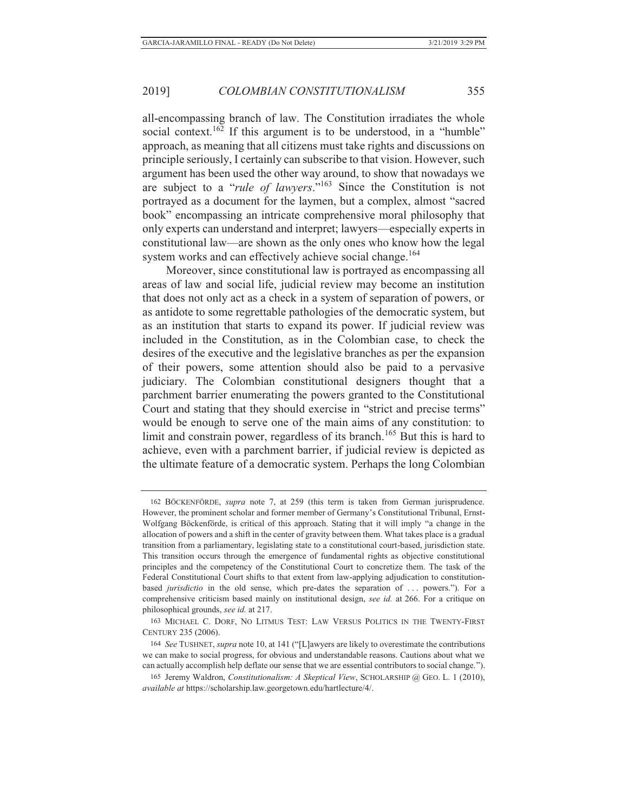all-encompassing branch of law. The Constitution irradiates the whole social context.<sup>162</sup> If this argument is to be understood, in a "humble" approach, as meaning that all citizens must take rights and discussions on principle seriously, I certainly can subscribe to that vision. However, such argument has been used the other way around, to show that nowadays we are subject to a "*rule of lawyers*."163 Since the Constitution is not portrayed as a document for the laymen, but a complex, almost "sacred book" encompassing an intricate comprehensive moral philosophy that only experts can understand and interpret; lawyers—especially experts in constitutional law—are shown as the only ones who know how the legal system works and can effectively achieve social change.<sup>164</sup>

Moreover, since constitutional law is portrayed as encompassing all areas of law and social life, judicial review may become an institution that does not only act as a check in a system of separation of powers, or as antidote to some regrettable pathologies of the democratic system, but as an institution that starts to expand its power. If judicial review was included in the Constitution, as in the Colombian case, to check the desires of the executive and the legislative branches as per the expansion of their powers, some attention should also be paid to a pervasive judiciary. The Colombian constitutional designers thought that a parchment barrier enumerating the powers granted to the Constitutional Court and stating that they should exercise in "strict and precise terms" would be enough to serve one of the main aims of any constitution: to limit and constrain power, regardless of its branch.<sup>165</sup> But this is hard to achieve, even with a parchment barrier, if judicial review is depicted as the ultimate feature of a democratic system. Perhaps the long Colombian

<sup>162</sup> BÖCKENFÖRDE, *supra* note 7, at 259 (this term is taken from German jurisprudence. However, the prominent scholar and former member of Germany's Constitutional Tribunal, Ernst-Wolfgang Böckenförde, is critical of this approach. Stating that it will imply "a change in the allocation of powers and a shift in the center of gravity between them. What takes place is a gradual transition from a parliamentary, legislating state to a constitutional court-based, jurisdiction state. This transition occurs through the emergence of fundamental rights as objective constitutional principles and the competency of the Constitutional Court to concretize them. The task of the Federal Constitutional Court shifts to that extent from law-applying adjudication to constitutionbased *jurisdictio* in the old sense, which pre-dates the separation of ... powers."). For a comprehensive criticism based mainly on institutional design, *see id.* at 266. For a critique on philosophical grounds, *see id.* at 217.

<sup>163</sup> MICHAEL C. DORF, NO LITMUS TEST: LAW VERSUS POLITICS IN THE TWENTY-FIRST CENTURY 235 (2006).

<sup>164</sup> *See* TUSHNET, *supra* note 10, at 141 ("[L]awyers are likely to overestimate the contributions we can make to social progress, for obvious and understandable reasons. Cautions about what we can actually accomplish help deflate our sense that we are essential contributors to social change.").

<sup>165</sup> Jeremy Waldron, *Constitutionalism: A Skeptical View*, SCHOLARSHIP @ GEO. L. 1 (2010), *available at* https://scholarship.law.georgetown.edu/hartlecture/4/.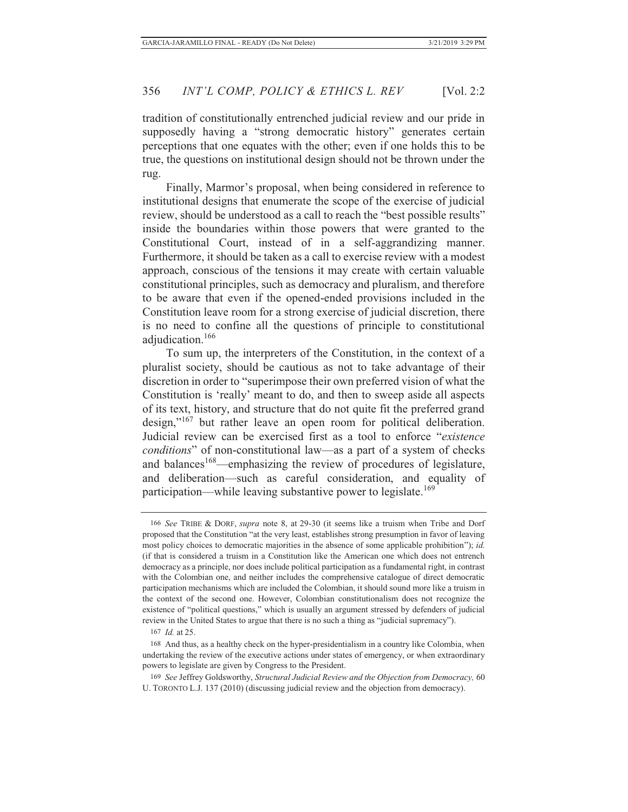tradition of constitutionally entrenched judicial review and our pride in supposedly having a "strong democratic history" generates certain perceptions that one equates with the other; even if one holds this to be true, the questions on institutional design should not be thrown under the rug.

Finally, Marmor's proposal, when being considered in reference to institutional designs that enumerate the scope of the exercise of judicial review, should be understood as a call to reach the "best possible results" inside the boundaries within those powers that were granted to the Constitutional Court, instead of in a self-aggrandizing manner. Furthermore, it should be taken as a call to exercise review with a modest approach, conscious of the tensions it may create with certain valuable constitutional principles, such as democracy and pluralism, and therefore to be aware that even if the opened-ended provisions included in the Constitution leave room for a strong exercise of judicial discretion, there is no need to confine all the questions of principle to constitutional adjudication.<sup>166</sup>

To sum up, the interpreters of the Constitution, in the context of a pluralist society, should be cautious as not to take advantage of their discretion in order to "superimpose their own preferred vision of what the Constitution is 'really' meant to do, and then to sweep aside all aspects of its text, history, and structure that do not quite fit the preferred grand design,"<sup>167</sup> but rather leave an open room for political deliberation. Judicial review can be exercised first as a tool to enforce "*existence conditions*" of non-constitutional law—as a part of a system of checks and balances<sup>168</sup>—emphasizing the review of procedures of legislature, and deliberation—such as careful consideration, and equality of participation—while leaving substantive power to legislate.<sup>169</sup>

<sup>166</sup> *See* TRIBE & DORF, *supra* note 8, at 29-30 (it seems like a truism when Tribe and Dorf proposed that the Constitution "at the very least, establishes strong presumption in favor of leaving most policy choices to democratic majorities in the absence of some applicable prohibition"); *id.* (if that is considered a truism in a Constitution like the American one which does not entrench democracy as a principle, nor does include political participation as a fundamental right, in contrast with the Colombian one, and neither includes the comprehensive catalogue of direct democratic participation mechanisms which are included the Colombian, it should sound more like a truism in the context of the second one. However, Colombian constitutionalism does not recognize the existence of "political questions," which is usually an argument stressed by defenders of judicial review in the United States to argue that there is no such a thing as "judicial supremacy").

<sup>167</sup> *Id.* at 25.

<sup>168</sup> And thus, as a healthy check on the hyper-presidentialism in a country like Colombia, when undertaking the review of the executive actions under states of emergency, or when extraordinary powers to legislate are given by Congress to the President.

<sup>169</sup> *See* Jeffrey Goldsworthy, *Structural Judicial Review and the Objection from Democracy,* 60 U. TORONTO L.J. 137 (2010) (discussing judicial review and the objection from democracy).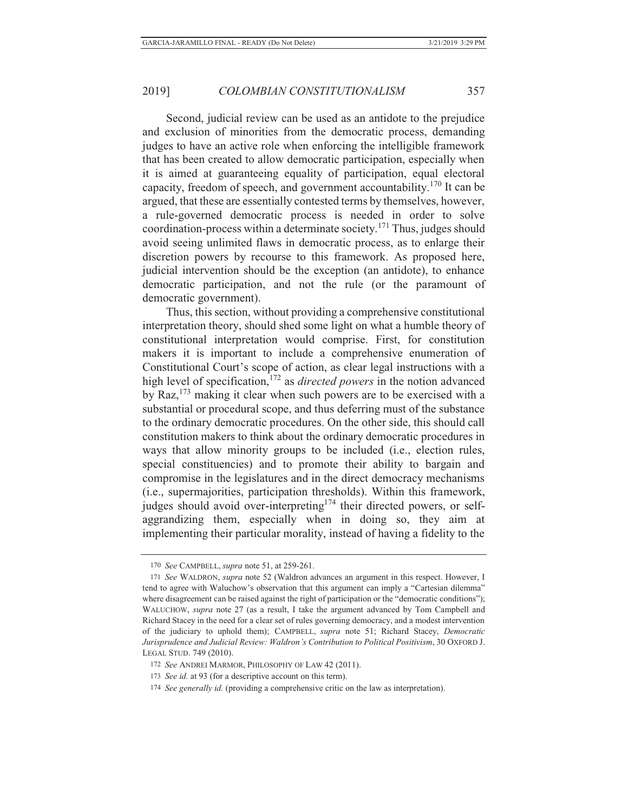Second, judicial review can be used as an antidote to the prejudice and exclusion of minorities from the democratic process, demanding judges to have an active role when enforcing the intelligible framework that has been created to allow democratic participation, especially when it is aimed at guaranteeing equality of participation, equal electoral capacity, freedom of speech, and government accountability.170 It can be argued, that these are essentially contested terms by themselves, however, a rule-governed democratic process is needed in order to solve coordination-process within a determinate society.171 Thus, judges should avoid seeing unlimited flaws in democratic process, as to enlarge their discretion powers by recourse to this framework. As proposed here, judicial intervention should be the exception (an antidote), to enhance democratic participation, and not the rule (or the paramount of democratic government).

Thus, this section, without providing a comprehensive constitutional interpretation theory, should shed some light on what a humble theory of constitutional interpretation would comprise. First, for constitution makers it is important to include a comprehensive enumeration of Constitutional Court's scope of action, as clear legal instructions with a high level of specification,<sup>172</sup> as *directed powers* in the notion advanced by Raz,173 making it clear when such powers are to be exercised with a substantial or procedural scope, and thus deferring must of the substance to the ordinary democratic procedures. On the other side, this should call constitution makers to think about the ordinary democratic procedures in ways that allow minority groups to be included (i.e., election rules, special constituencies) and to promote their ability to bargain and compromise in the legislatures and in the direct democracy mechanisms (i.e., supermajorities, participation thresholds). Within this framework, judges should avoid over-interpreting<sup>174</sup> their directed powers, or selfaggrandizing them, especially when in doing so, they aim at implementing their particular morality, instead of having a fidelity to the

<sup>170</sup> *See* CAMPBELL, *supra* note 51, at 259-261.

<sup>171</sup> *See* WALDRON, *supra* note 52 (Waldron advances an argument in this respect. However, I tend to agree with Waluchow's observation that this argument can imply a "Cartesian dilemma" where disagreement can be raised against the right of participation or the "democratic conditions"); WALUCHOW, *supra* note 27 (as a result, I take the argument advanced by Tom Campbell and Richard Stacey in the need for a clear set of rules governing democracy, and a modest intervention of the judiciary to uphold them); CAMPBELL, *supra* note 51; Richard Stacey, *Democratic Jurisprudence and Judicial Review: Waldron's Contribution to Political Positivism*, 30 OXFORD J. LEGAL STUD. 749 (2010).

<sup>172</sup> *See* ANDREI MARMOR, PHILOSOPHY OF LAW 42 (2011).

<sup>173</sup> *See id.* at 93 (for a descriptive account on this term).

<sup>174</sup> *See generally id.* (providing a comprehensive critic on the law as interpretation).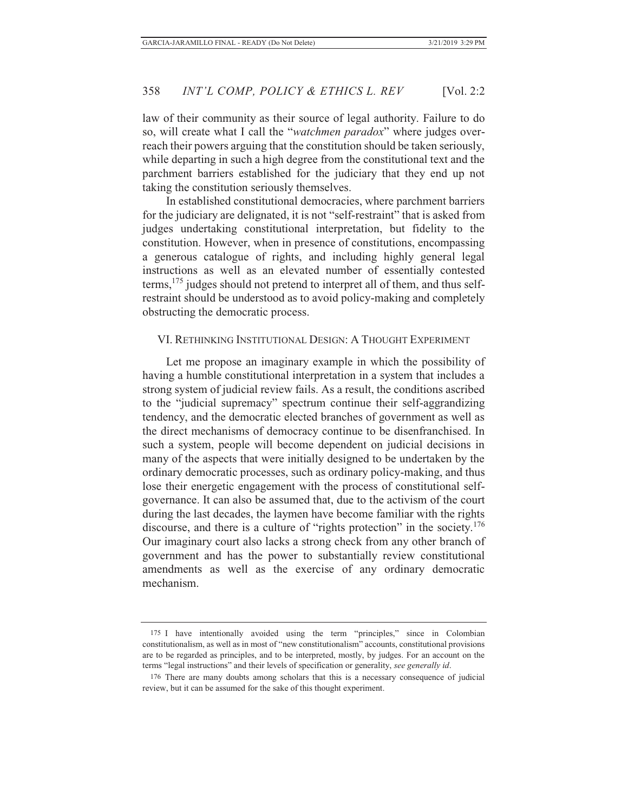law of their community as their source of legal authority. Failure to do so, will create what I call the "*watchmen paradox*" where judges overreach their powers arguing that the constitution should be taken seriously, while departing in such a high degree from the constitutional text and the parchment barriers established for the judiciary that they end up not taking the constitution seriously themselves.

In established constitutional democracies, where parchment barriers for the judiciary are delignated, it is not "self-restraint" that is asked from judges undertaking constitutional interpretation, but fidelity to the constitution. However, when in presence of constitutions, encompassing a generous catalogue of rights, and including highly general legal instructions as well as an elevated number of essentially contested terms,<sup>175</sup> judges should not pretend to interpret all of them, and thus selfrestraint should be understood as to avoid policy-making and completely obstructing the democratic process.

# VI. RETHINKING INSTITUTIONAL DESIGN: A THOUGHT EXPERIMENT

Let me propose an imaginary example in which the possibility of having a humble constitutional interpretation in a system that includes a strong system of judicial review fails. As a result, the conditions ascribed to the "judicial supremacy" spectrum continue their self-aggrandizing tendency, and the democratic elected branches of government as well as the direct mechanisms of democracy continue to be disenfranchised. In such a system, people will become dependent on judicial decisions in many of the aspects that were initially designed to be undertaken by the ordinary democratic processes, such as ordinary policy-making, and thus lose their energetic engagement with the process of constitutional selfgovernance. It can also be assumed that, due to the activism of the court during the last decades, the laymen have become familiar with the rights discourse, and there is a culture of "rights protection" in the society.<sup>176</sup> Our imaginary court also lacks a strong check from any other branch of government and has the power to substantially review constitutional amendments as well as the exercise of any ordinary democratic mechanism.

<sup>175</sup> I have intentionally avoided using the term "principles," since in Colombian constitutionalism, as well as in most of "new constitutionalism" accounts, constitutional provisions are to be regarded as principles, and to be interpreted, mostly, by judges. For an account on the terms "legal instructions" and their levels of specification or generality, *see generally id*.

<sup>176</sup> There are many doubts among scholars that this is a necessary consequence of judicial review, but it can be assumed for the sake of this thought experiment.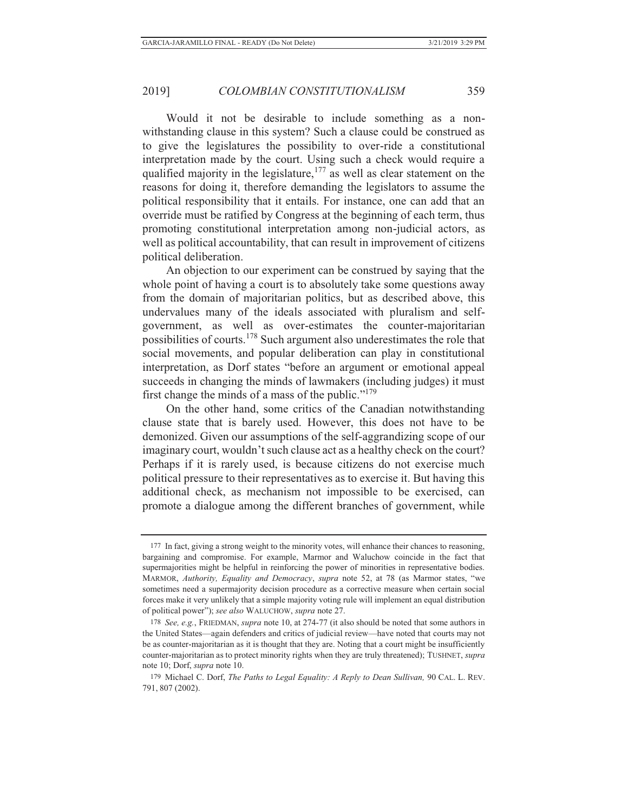Would it not be desirable to include something as a nonwithstanding clause in this system? Such a clause could be construed as to give the legislatures the possibility to over-ride a constitutional interpretation made by the court. Using such a check would require a qualified majority in the legislature, $177$  as well as clear statement on the reasons for doing it, therefore demanding the legislators to assume the political responsibility that it entails. For instance, one can add that an override must be ratified by Congress at the beginning of each term, thus promoting constitutional interpretation among non-judicial actors, as well as political accountability, that can result in improvement of citizens political deliberation.

An objection to our experiment can be construed by saying that the whole point of having a court is to absolutely take some questions away from the domain of majoritarian politics, but as described above, this undervalues many of the ideals associated with pluralism and selfgovernment, as well as over-estimates the counter-majoritarian possibilities of courts.178 Such argument also underestimates the role that social movements, and popular deliberation can play in constitutional interpretation, as Dorf states "before an argument or emotional appeal succeeds in changing the minds of lawmakers (including judges) it must first change the minds of a mass of the public."<sup>179</sup>

On the other hand, some critics of the Canadian notwithstanding clause state that is barely used. However, this does not have to be demonized. Given our assumptions of the self-aggrandizing scope of our imaginary court, wouldn't such clause act as a healthy check on the court? Perhaps if it is rarely used, is because citizens do not exercise much political pressure to their representatives as to exercise it. But having this additional check, as mechanism not impossible to be exercised, can promote a dialogue among the different branches of government, while

<sup>177</sup> In fact, giving a strong weight to the minority votes, will enhance their chances to reasoning, bargaining and compromise. For example, Marmor and Waluchow coincide in the fact that supermajorities might be helpful in reinforcing the power of minorities in representative bodies. MARMOR, *Authority, Equality and Democracy*, *supra* note 52, at 78 (as Marmor states, "we sometimes need a supermajority decision procedure as a corrective measure when certain social forces make it very unlikely that a simple majority voting rule will implement an equal distribution of political power"); *see also* WALUCHOW, *supra* note 27.

<sup>178</sup> *See, e.g.*, FRIEDMAN, *supra* note 10, at 274-77 (it also should be noted that some authors in the United States—again defenders and critics of judicial review—have noted that courts may not be as counter-majoritarian as it is thought that they are. Noting that a court might be insufficiently counter-majoritarian as to protect minority rights when they are truly threatened); TUSHNET, *supra* note 10; Dorf, *supra* note 10.

<sup>179</sup> Michael C. Dorf, *The Paths to Legal Equality: A Reply to Dean Sullivan,* 90 CAL. L. REV. 791, 807 (2002).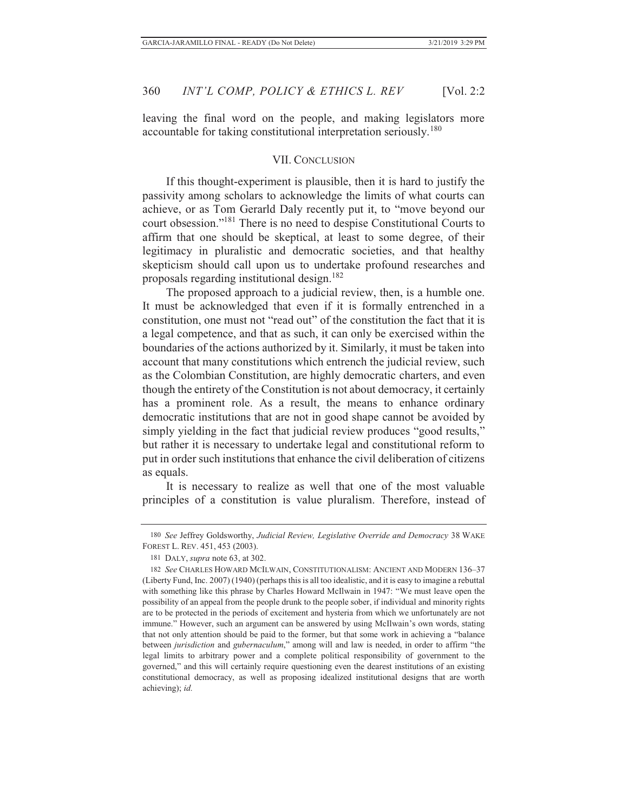leaving the final word on the people, and making legislators more accountable for taking constitutional interpretation seriously.<sup>180</sup>

### VII. CONCLUSION

If this thought-experiment is plausible, then it is hard to justify the passivity among scholars to acknowledge the limits of what courts can achieve, or as Tom Gerarld Daly recently put it, to "move beyond our court obsession."181 There is no need to despise Constitutional Courts to affirm that one should be skeptical, at least to some degree, of their legitimacy in pluralistic and democratic societies, and that healthy skepticism should call upon us to undertake profound researches and proposals regarding institutional design.<sup>182</sup>

The proposed approach to a judicial review, then, is a humble one. It must be acknowledged that even if it is formally entrenched in a constitution, one must not "read out" of the constitution the fact that it is a legal competence, and that as such, it can only be exercised within the boundaries of the actions authorized by it. Similarly, it must be taken into account that many constitutions which entrench the judicial review, such as the Colombian Constitution, are highly democratic charters, and even though the entirety of the Constitution is not about democracy, it certainly has a prominent role. As a result, the means to enhance ordinary democratic institutions that are not in good shape cannot be avoided by simply yielding in the fact that judicial review produces "good results," but rather it is necessary to undertake legal and constitutional reform to put in order such institutions that enhance the civil deliberation of citizens as equals.

It is necessary to realize as well that one of the most valuable principles of a constitution is value pluralism. Therefore, instead of

<sup>180</sup> *See* Jeffrey Goldsworthy, *Judicial Review, Legislative Override and Democracy* 38 WAKE FOREST L. REV. 451, 453 (2003).

<sup>181</sup> DALY, *supra* note 63, at 302.

<sup>182</sup> *See* CHARLES HOWARD MCILWAIN, CONSTITUTIONALISM: ANCIENT AND MODERN 136–37 (Liberty Fund, Inc. 2007) (1940) (perhaps this is all too idealistic, and it is easy to imagine a rebuttal with something like this phrase by Charles Howard McIlwain in 1947: "We must leave open the possibility of an appeal from the people drunk to the people sober, if individual and minority rights are to be protected in the periods of excitement and hysteria from which we unfortunately are not immune." However, such an argument can be answered by using McIlwain's own words, stating that not only attention should be paid to the former, but that some work in achieving a "balance between *jurisdiction* and *gubernaculum*," among will and law is needed, in order to affirm "the legal limits to arbitrary power and a complete political responsibility of government to the governed," and this will certainly require questioning even the dearest institutions of an existing constitutional democracy, as well as proposing idealized institutional designs that are worth achieving); *id.*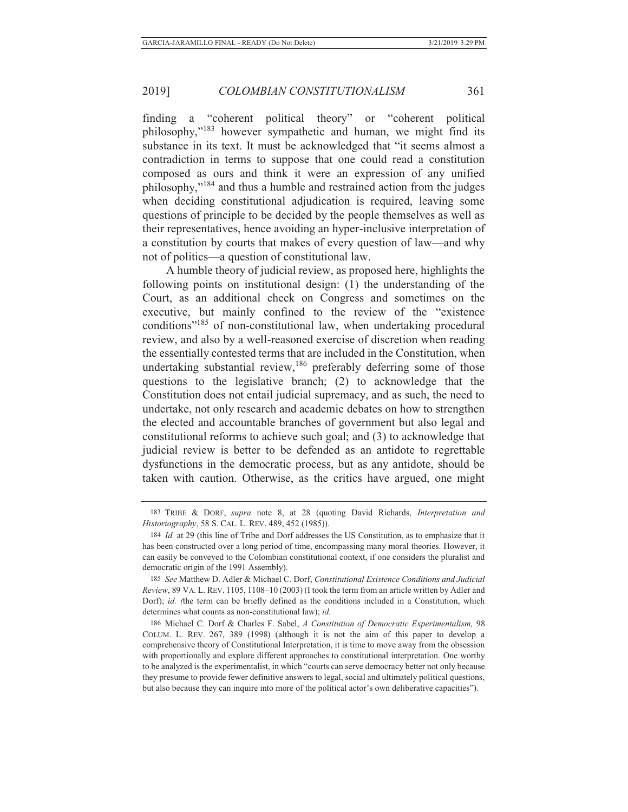finding a "coherent political theory" or "coherent political philosophy,"183 however sympathetic and human, we might find its substance in its text. It must be acknowledged that "it seems almost a contradiction in terms to suppose that one could read a constitution composed as ours and think it were an expression of any unified philosophy,"184 and thus a humble and restrained action from the judges when deciding constitutional adjudication is required, leaving some questions of principle to be decided by the people themselves as well as their representatives, hence avoiding an hyper-inclusive interpretation of a constitution by courts that makes of every question of law—and why not of politics—a question of constitutional law.

A humble theory of judicial review, as proposed here, highlights the following points on institutional design: (1) the understanding of the Court, as an additional check on Congress and sometimes on the executive, but mainly confined to the review of the "existence conditions"<sup>185</sup> of non-constitutional law, when undertaking procedural review, and also by a well-reasoned exercise of discretion when reading the essentially contested terms that are included in the Constitution, when undertaking substantial review,<sup>186</sup> preferably deferring some of those questions to the legislative branch; (2) to acknowledge that the Constitution does not entail judicial supremacy, and as such, the need to undertake, not only research and academic debates on how to strengthen the elected and accountable branches of government but also legal and constitutional reforms to achieve such goal; and (3) to acknowledge that judicial review is better to be defended as an antidote to regrettable dysfunctions in the democratic process, but as any antidote, should be taken with caution. Otherwise, as the critics have argued, one might

<sup>183</sup> TRIBE & DORF, *supra* note 8, at 28 (quoting David Richards, *Interpretation and Historiography*, 58 S. CAL. L. REV. 489, 452 (1985)).

<sup>184</sup> *Id.* at 29 (this line of Tribe and Dorf addresses the US Constitution, as to emphasize that it has been constructed over a long period of time, encompassing many moral theories. However, it can easily be conveyed to the Colombian constitutional context, if one considers the pluralist and democratic origin of the 1991 Assembly).

<sup>185</sup> *See* Matthew D. Adler & Michael C. Dorf, *Constitutional Existence Conditions and Judicial Review*, 89 VA. L. REV. 1105, 1108–10 (2003) (I took the term from an article written by Adler and Dorf); *id. (*the term can be briefly defined as the conditions included in a Constitution, which determines what counts as non-constitutional law); *id.*

<sup>186</sup> Michael C. Dorf & Charles F. Sabel, *A Constitution of Democratic Experimentalism,* 98 COLUM. L. REV. 267, 389 (1998) (although it is not the aim of this paper to develop a comprehensive theory of Constitutional Interpretation, it is time to move away from the obsession with proportionally and explore different approaches to constitutional interpretation. One worthy to be analyzed is the experimentalist, in which "courts can serve democracy better not only because they presume to provide fewer definitive answers to legal, social and ultimately political questions, but also because they can inquire into more of the political actor's own deliberative capacities").